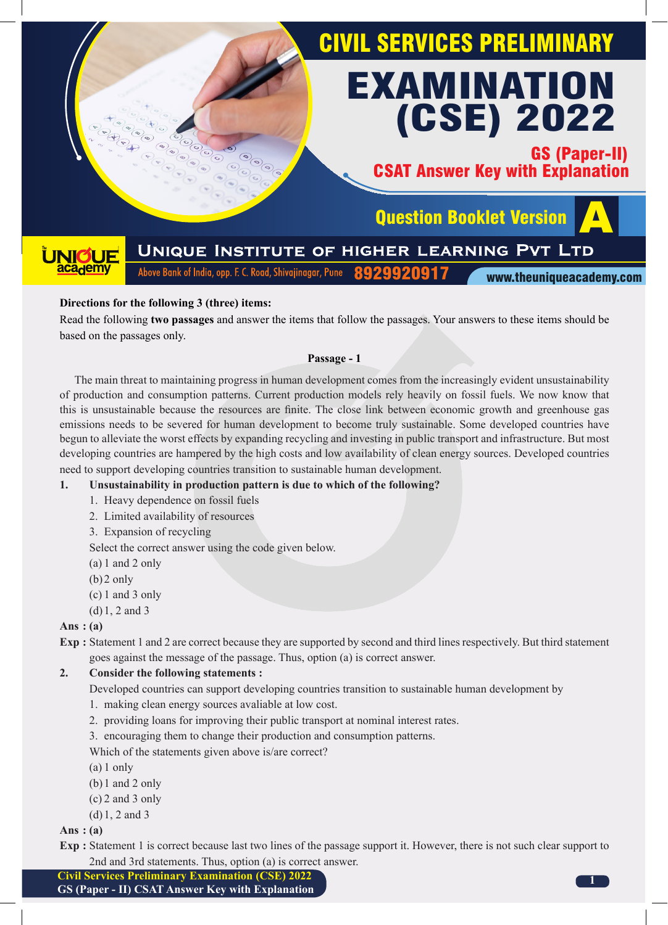

#### **Directions for the following 3 (three) items:**

Read the following **two passages** and answer the items that follow the passages. Your answers to these items should be based on the passages only.

#### **Passage - 1**

The main threat to maintaining progress in human development comes from the increasingly evident unsustainability of production and consumption patterns. Current production models rely heavily on fossil fuels. We now know that this is unsustainable because the resources are finite. The close link between economic growth and greenhouse gas emissions needs to be severed for human development to become truly sustainable. Some developed countries have begun to alleviate the worst effects by expanding recycling and investing in public transport and infrastructure. But most developing countries are hampered by the high costs and low availability of clean energy sources. Developed countries need to support developing countries transition to sustainable human development.

#### **1. Unsustainability in production pattern is due to which of the following?**

- 1. Heavy dependence on fossil fuels
- 2. Limited availability of resources
- 3. Expansion of recycling

Select the correct answer using the code given below.

- (a) 1 and 2 only
- $(b)$ 2 only
- (c) 1 and 3 only
- (d)1, 2 and 3

#### **Ans : (a)**

**Exp :** Statement 1 and 2 are correct because they are supported by second and third lines respectively. But third statement goes against the message of the passage. Thus, option (a) is correct answer.

#### **2. Consider the following statements :**

- Developed countries can support developing countries transition to sustainable human development by
- 1. making clean energy sources avaliable at low cost.
- 2. providing loans for improving their public transport at nominal interest rates.
- 3. encouraging them to change their production and consumption patterns.
- Which of the statements given above is/are correct?
- (a) 1 only
- (b)1 and 2 only
- (c) 2 and 3 only
- (d)1, 2 and 3

#### **Ans : (a)**

**Exp :** Statement 1 is correct because last two lines of the passage support it. However, there is not such clear support to 2nd and 3rd statements. Thus, option (a) is correct answer.

**Civil Services Preliminary Examination (CSE) 2022**

**GS (Paper - II) CSAT Answer Key with Explanation**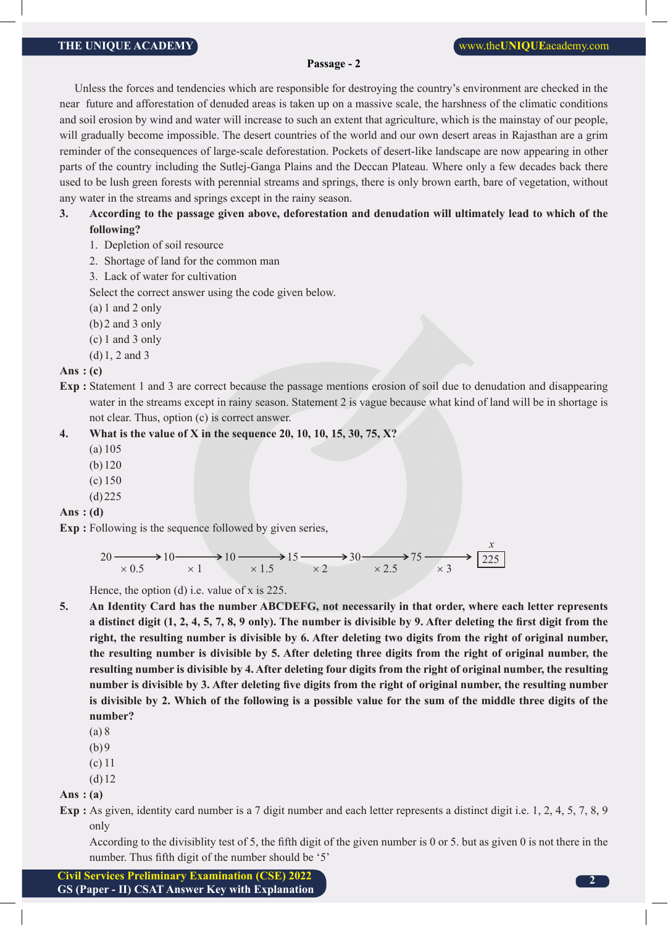#### **Passage - 2**

Unless the forces and tendencies which are responsible for destroying the country's environment are checked in the near future and afforestation of denuded areas is taken up on a massive scale, the harshness of the climatic conditions and soil erosion by wind and water will increase to such an extent that agriculture, which is the mainstay of our people, will gradually become impossible. The desert countries of the world and our own desert areas in Rajasthan are a grim reminder of the consequences of large-scale deforestation. Pockets of desert-like landscape are now appearing in other parts of the country including the Sutlej-Ganga Plains and the Deccan Plateau. Where only a few decades back there used to be lush green forests with perennial streams and springs, there is only brown earth, bare of vegetation, without any water in the streams and springs except in the rainy season.

#### **3. According to the passage given above, deforestation and denudation will ultimately lead to which of the following?**

- 1. Depletion of soil resource
- 2. Shortage of land for the common man
- 3. Lack of water for cultivation

Select the correct answer using the code given below.

- (a) 1 and 2 only
- (b)2 and 3 only
- (c) 1 and 3 only
- (d)1, 2 and 3

**Ans : (c)**

**Exp :** Statement 1 and 3 are correct because the passage mentions erosion of soil due to denudation and disappearing water in the streams except in rainy season. Statement 2 is vague because what kind of land will be in shortage is not clear. Thus, option (c) is correct answer.

#### **4. What is the value of X in the sequence 20, 10, 10, 15, 30, 75, X?**

- (a) 105
- (b) 120
- (c) 150
- (d)225

#### **Ans : (d)**

**Exp :** Following is the sequence followed by given series,



Hence, the option (d) i.e. value of x is 225.

- **5. An Identity Card has the number ABCDEFG, not necessarily in that order, where each letter represents a distinct digit (1, 2, 4, 5, 7, 8, 9 only). The number is divisible by 9. After deleting the first digit from the right, the resulting number is divisible by 6. After deleting two digits from the right of original number, the resulting number is divisible by 5. After deleting three digits from the right of original number, the resulting number is divisible by 4. After deleting four digits from the right of original number, the resulting number is divisible by 3. After deleting five digits from the right of original number, the resulting number is divisible by 2. Which of the following is a possible value for the sum of the middle three digits of the number?**
	- (a) 8
	- $(b)9$
	- (c) 11
	- (d)12

**Ans : (a)**

**Exp :** As given, identity card number is a 7 digit number and each letter represents a distinct digit i.e. 1, 2, 4, 5, 7, 8, 9 only

According to the divisiblity test of 5, the fifth digit of the given number is 0 or 5. but as given 0 is not there in the number. Thus fifth digit of the number should be '5'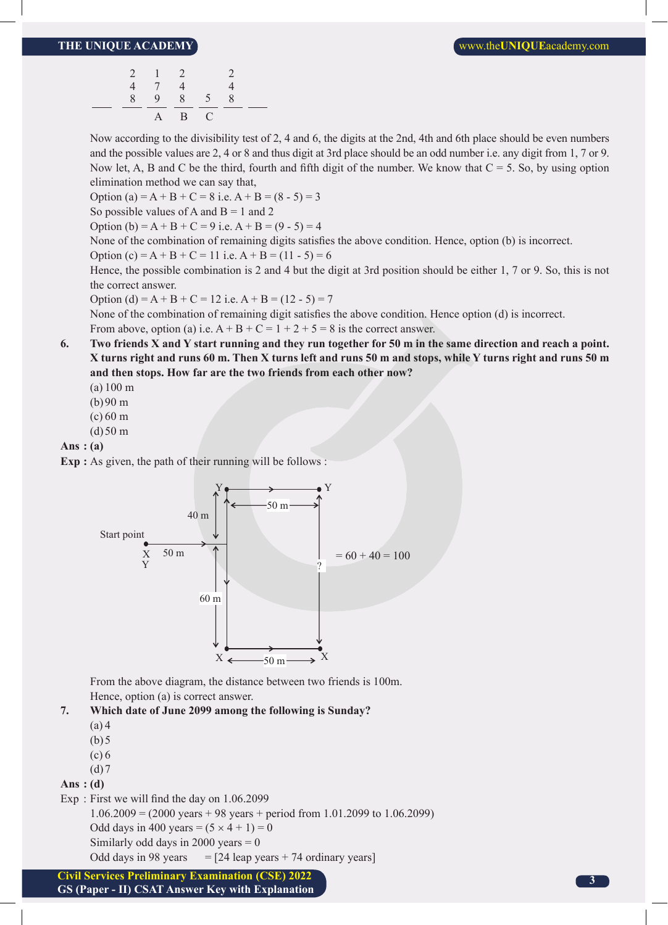|   | 2 1 2 |       |           | 2 |  |
|---|-------|-------|-----------|---|--|
| 4 | 7     | 4     |           | 4 |  |
|   |       |       | 8 9 8 5 8 |   |  |
|   |       | A B C |           |   |  |

 Now according to the divisibility test of 2, 4 and 6, the digits at the 2nd, 4th and 6th place should be even numbers and the possible values are 2, 4 or 8 and thus digit at 3rd place should be an odd number i.e. any digit from 1, 7 or 9. Now let, A, B and C be the third, fourth and fifth digit of the number. We know that  $C = 5$ . So, by using option elimination method we can say that,

Option (a) = A + B + C = 8 i.e. A + B =  $(8 - 5) = 3$ 

So possible values of A and  $B = 1$  and 2

Option (b) = A + B + C = 9 i.e. A + B =  $(9 - 5) = 4$ 

None of the combination of remaining digits satisfies the above condition. Hence, option (b) is incorrect.

Option  $(c) = A + B + C = 11$  i.e.  $A + B = (11 - 5) = 6$ 

 Hence, the possible combination is 2 and 4 but the digit at 3rd position should be either 1, 7 or 9. So, this is not the correct answer.

Option (d) = A + B + C = 12 i.e. A + B =  $(12 - 5) = 7$ 

None of the combination of remaining digit satisfies the above condition. Hence option (d) is incorrect. From above, option (a) i.e.  $A + B + C = 1 + 2 + 5 = 8$  is the correct answer.

**6. Two friends X and Y start running and they run together for 50 m in the same direction and reach a point. X turns right and runs 60 m. Then X turns left and runs 50 m and stops, while Y turns right and runs 50 m and then stops. How far are the two friends from each other now?**

(a) 100 m

- (b)90 m
- (c) 60 m
- $(d)50 m$

**Ans : (a)**

**Exp :** As given, the path of their running will be follows :



 From the above diagram, the distance between two friends is 100m. Hence, option (a) is correct answer.



(a) 4

- $(b)5$
- $(c) 6$
- $(d)7$

**Ans : (d)**

Exp : First we will find the day on 1.06.2099

1.06.2009 = (2000 years + 98 years + period from 1.01.2099 to 1.06.2099) Odd days in 400 years =  $(5 \times 4 + 1) = 0$ 

Similarly odd days in 2000 years  $= 0$ 

Odd days in 98 years  $=$  [24 leap years + 74 ordinary years]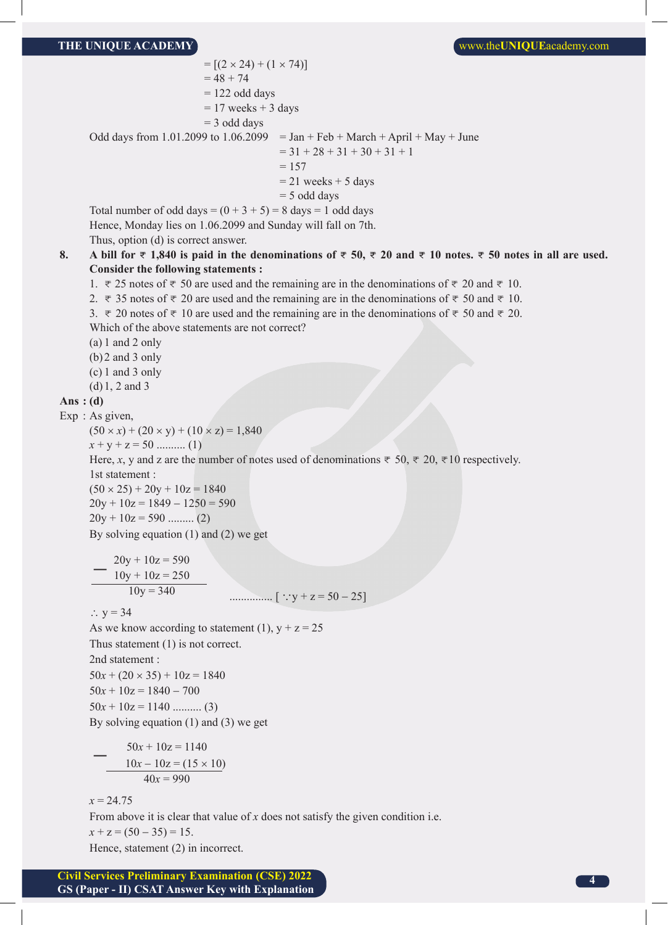$= [(2 \times 24) + (1 \times 74)]$  $= 48 + 74$  $= 122$  odd days  $= 17$  weeks  $+ 3$  days  $=$  3 odd days Odd days from 1.01.2099 to  $1.06.2099$  = Jan + Feb + March + April + May + June  $= 31 + 28 + 31 + 30 + 31 + 1$  $= 157$  $= 21$  weeks  $+ 5$  days  $=$  5 odd days Total number of odd days =  $(0 + 3 + 5) = 8$  days = 1 odd days Hence, Monday lies on 1.06.2099 and Sunday will fall on 7th. Thus, option (d) is correct answer. **8. A** bill for  $\overline{\tau}$  1,840 is paid in the denominations of  $\overline{\tau}$  50,  $\overline{\tau}$  20 and  $\overline{\tau}$  10 notes.  $\overline{\tau}$  50 notes in all are used. **Consider the following statements :** 1.  $\overline{\tau}$  25 notes of  $\overline{\tau}$  50 are used and the remaining are in the denominations of  $\overline{\tau}$  20 and  $\overline{\tau}$  10. 2.  $\overline{\tau}$  35 notes of  $\overline{\tau}$  20 are used and the remaining are in the denominations of  $\overline{\tau}$  50 and  $\overline{\tau}$  10. 3.  $\overline{\tau}$  20 notes of  $\overline{\tau}$  10 are used and the remaining are in the denominations of  $\overline{\tau}$  50 and  $\overline{\tau}$  20. Which of the above statements are not correct? (a) 1 and 2 only (b)2 and 3 only (c) 1 and 3 only (d)1, 2 and 3 **Ans : (d)** Exp : As given,  $(50 \times x) + (20 \times y) + (10 \times z) = 1,840$  *x* + y + z = 50 .......... (1) Here, *x*, y and z are the number of notes used of denominations  $\bar{\tau}$  50,  $\bar{\tau}$  20,  $\bar{\tau}$ 10 respectively. 1st statement :  $(50 \times 25) + 20y + 10z = 1840$  $20y + 10z = 1849 - 1250 = 590$  $20y + 10z = 590$  .......... (2) By solving equation (1) and (2) we get  $20y + 10z = 590$  $10y + 10z = 250$  $10y = 340$ -............... [ ay + z = 50 − 25] ∴  $y = 34$ As we know according to statement (1),  $y + z = 25$  Thus statement (1) is not correct. 2nd statement :  $50x + (20 \times 35) + 10z = 1840$  $50x + 10z = 1840 - 700$  $50x + 10z = 1140$  ........... (3) By solving equation (1) and (3) we get  $50x + 10z = 1140$  $10x - 10z = (15 \times 10)$  $40x = 990$  $x = 24.75$ From above it is clear that value of *x* does not satisfy the given condition i.e.  $x + z = (50 - 35) = 15$ . Hence, statement (2) in incorrect.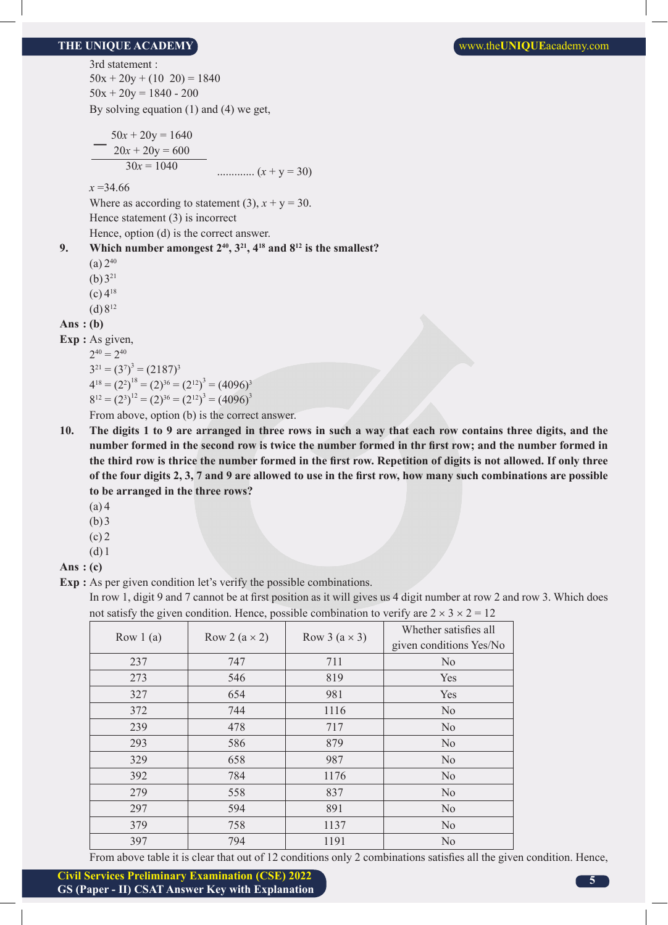3rd statement :  $50x + 20y + (10 \ 20) = 1840$  $50x + 20y = 1840 - 200$ By solving equation (1) and (4) we get,

$$
50x + 20y = 1640
$$
  
20x + 20y = 600  
30x = 1040  
30x = 1040  
30x = 1040

*x* =34.66

Where as according to statement (3),  $x + y = 30$ .

Hence statement (3) is incorrect

Hence, option (d) is the correct answer.

```
9. Which number amongest 2^{40}, 3^{21}, 4^{18} and 8^{12} is the smallest?
```
- $(a)$  2<sup>40</sup>
- (b)  $3^{21}$
- $(c)$  4<sup>18</sup>
- $(d) 8^{12}$

**Ans : (b)** 

**Exp :** As given,

 $2^{40} = 2^{40}$  $3^{21} = (3^7)^3 = (2187)^3$  $4^{18} = (2^2)^{18} = (2)^{36} = (2^{12})^3 = (4096)^3$  $8^{12} = (2^3)^{12} = (2)^{36} = (2^{12})^3 = (4096)^3$ 

From above, option (b) is the correct answer.

- **10. The digits 1 to 9 are arranged in three rows in such a way that each row contains three digits, and the number formed in the second row is twice the number formed in thr first row; and the number formed in the third row is thrice the number formed in the first row. Repetition of digits is not allowed. If only three of the four digits 2, 3, 7 and 9 are allowed to use in the first row, how many such combinations are possible to be arranged in the three rows?**
	- (a) 4
	- $(b)3$
	- $(c)$  2
	- $(d)1$

```
Ans : (c)
```
**Exp** : As per given condition let's verify the possible combinations.

In row 1, digit 9 and 7 cannot be at first position as it will gives us 4 digit number at row 2 and row 3. Which does not satisfy the given condition. Hence, possible combination to verify are  $2 \times 3 \times 2 = 12$ 

| Row $1(a)$ | Row 2 $(a \times 2)$ | Row 3 $(a \times 3)$ | Whether satisfies all<br>given conditions Yes/No |
|------------|----------------------|----------------------|--------------------------------------------------|
| 237        | 747                  | 711                  | N <sub>0</sub>                                   |
| 273        | 546                  | 819                  | Yes                                              |
| 327        | 654                  | 981                  | Yes                                              |
| 372        | 744                  | 1116                 | N <sub>0</sub>                                   |
| 239        | 478                  | 717                  | N <sub>0</sub>                                   |
| 293        | 586                  | 879                  | N <sub>0</sub>                                   |
| 329        | 658                  | 987                  | N <sub>o</sub>                                   |
| 392        | 784                  | 1176                 | N <sub>0</sub>                                   |
| 279        | 558                  | 837                  | N <sub>o</sub>                                   |
| 297        | 594                  | 891                  | N <sub>o</sub>                                   |
| 379        | 758                  | 1137                 | N <sub>0</sub>                                   |
| 397        | 794                  | 1191                 | N <sub>0</sub>                                   |

From above table it is clear that out of 12 conditions only 2 combinations satisfies all the given condition. Hence,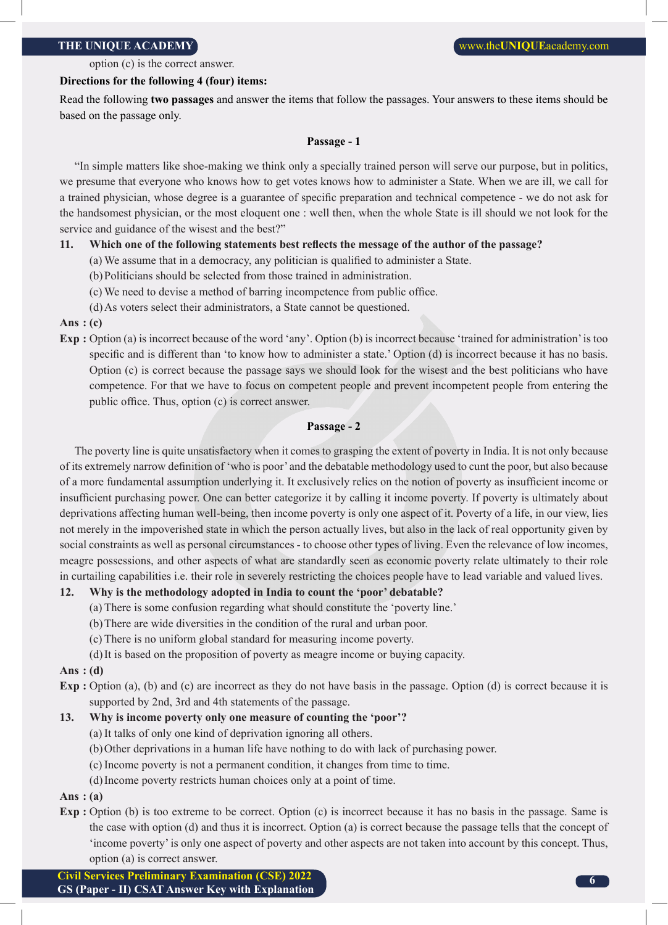option (c) is the correct answer.

#### **Directions for the following 4 (four) items:**

Read the following **two passages** and answer the items that follow the passages. Your answers to these items should be based on the passage only.

#### **Passage - 1**

"In simple matters like shoe-making we think only a specially trained person will serve our purpose, but in politics, we presume that everyone who knows how to get votes knows how to administer a State. When we are ill, we call for a trained physician, whose degree is a guarantee of specific preparation and technical competence - we do not ask for the handsomest physician, or the most eloquent one : well then, when the whole State is ill should we not look for the service and guidance of the wisest and the best?"

#### **11. Which one of the following statements best reflects the message of the author of the passage?**

- (a) We assume that in a democracy, any politician is qualified to administer a State.
- (b)Politicians should be selected from those trained in administration.
- (c) We need to devise a method of barring incompetence from public office.
- (d)As voters select their administrators, a State cannot be questioned.

#### **Ans : (c)**

**Exp :** Option (a) is incorrect because of the word 'any'. Option (b) is incorrect because 'trained for administration' is too specific and is different than 'to know how to administer a state.' Option (d) is incorrect because it has no basis. Option (c) is correct because the passage says we should look for the wisest and the best politicians who have competence. For that we have to focus on competent people and prevent incompetent people from entering the public office. Thus, option (c) is correct answer.

#### **Passage - 2**

The poverty line is quite unsatisfactory when it comes to grasping the extent of poverty in India. It is not only because of its extremely narrow definition of 'who is poor' and the debatable methodology used to cunt the poor, but also because of a more fundamental assumption underlying it. It exclusively relies on the notion of poverty as insufficient income or insufficient purchasing power. One can better categorize it by calling it income poverty. If poverty is ultimately about deprivations affecting human well-being, then income poverty is only one aspect of it. Poverty of a life, in our view, lies not merely in the impoverished state in which the person actually lives, but also in the lack of real opportunity given by social constraints as well as personal circumstances - to choose other types of living. Even the relevance of low incomes, meagre possessions, and other aspects of what are standardly seen as economic poverty relate ultimately to their role in curtailing capabilities i.e. their role in severely restricting the choices people have to lead variable and valued lives.

#### **12. Why is the methodology adopted in India to count the 'poor' debatable?**

- (a) There is some confusion regarding what should constitute the 'poverty line.'
- (b)There are wide diversities in the condition of the rural and urban poor.
- (c) There is no uniform global standard for measuring income poverty.
- (d)It is based on the proposition of poverty as meagre income or buying capacity.

#### **Ans : (d)**

**Exp** : Option (a), (b) and (c) are incorrect as they do not have basis in the passage. Option (d) is correct because it is supported by 2nd, 3rd and 4th statements of the passage.

#### **13. Why is income poverty only one measure of counting the 'poor'?**

- (a) It talks of only one kind of deprivation ignoring all others.
- (b)Other deprivations in a human life have nothing to do with lack of purchasing power.
- (c) Income poverty is not a permanent condition, it changes from time to time.
- (d)Income poverty restricts human choices only at a point of time.

### **Ans : (a)**

**Exp :** Option (b) is too extreme to be correct. Option (c) is incorrect because it has no basis in the passage. Same is the case with option (d) and thus it is incorrect. Option (a) is correct because the passage tells that the concept of 'income poverty' is only one aspect of poverty and other aspects are not taken into account by this concept. Thus, option (a) is correct answer.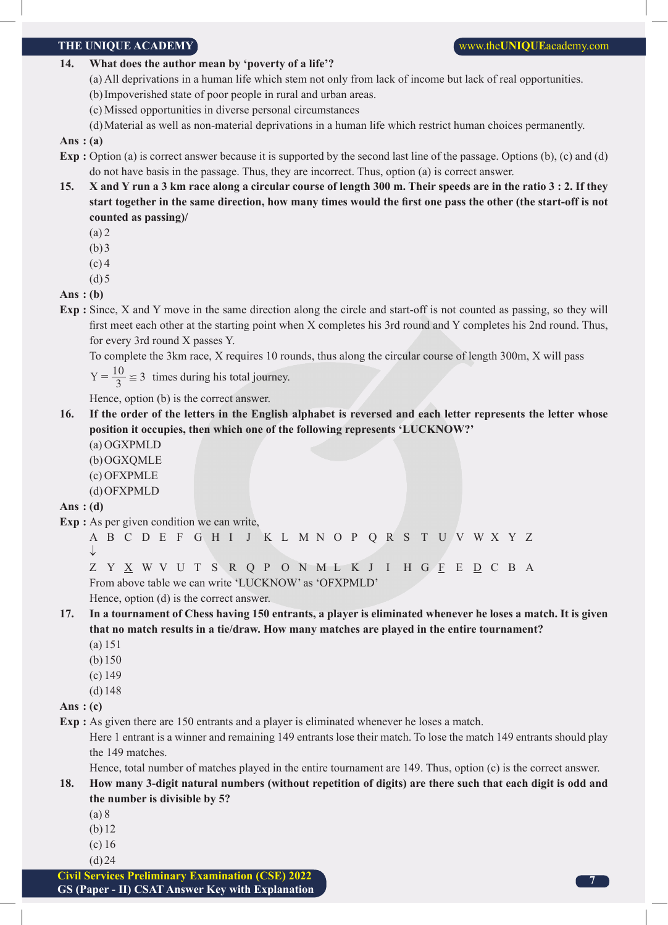#### **14. What does the author mean by 'poverty of a life'?**

(a) All deprivations in a human life which stem not only from lack of income but lack of real opportunities.

- (b)Impoverished state of poor people in rural and urban areas.
- (c) Missed opportunities in diverse personal circumstances
- (d)Material as well as non-material deprivations in a human life which restrict human choices permanently.

#### **Ans : (a)**

- **Exp** : Option (a) is correct answer because it is supported by the second last line of the passage. Options (b), (c) and (d) do not have basis in the passage. Thus, they are incorrect. Thus, option (a) is correct answer.
- **15. X and Y run a 3 km race along a circular course of length 300 m. Their speeds are in the ratio 3 : 2. If they start together in the same direction, how many times would the first one pass the other (the start-off is not counted as passing)/**
	- (a) 2
	- $(b)3$
	- $(c)$  4
	- $(d)5$

**Ans : (b)**

**Exp :** Since, X and Y move in the same direction along the circle and start-off is not counted as passing, so they will first meet each other at the starting point when X completes his 3rd round and Y completes his 2nd round. Thus, for every 3rd round X passes Y.

To complete the 3km race, X requires 10 rounds, thus along the circular course of length 300m, X will pass

 $Y = \frac{10}{3} \approx 3$  times during his total journey.

Hence, option (b) is the correct answer.

- **16. If the order of the letters in the English alphabet is reversed and each letter represents the letter whose position it occupies, then which one of the following represents 'LUCKNOW?'**
	- (a) OGXPMLD
	- (b)OGXQMLE
	- (c) OFXPMLE
	- (d)OFXPMLD

#### **Ans : (d)**

**Exp :** As per given condition we can write,

A B C D E F G H I J K L M N O P Q R S T U V W X Y Z ↓

Z Y X W V U T S R Q P O N M L K J I H G F E D C B A From above table we can write 'LUCKNOW' as 'OFXPMLD'

Hence, option (d) is the correct answer.

## **17. In a tournament of Chess having 150 entrants, a player is eliminated whenever he loses a match. It is given that no match results in a tie/draw. How many matches are played in the entire tournament?**

- (a) 151
- (b)150
- (c) 149
- (d)148
- **Ans : (c)**

**Exp :** As given there are 150 entrants and a player is eliminated whenever he loses a match.

 Here 1 entrant is a winner and remaining 149 entrants lose their match. To lose the match 149 entrants should play the 149 matches.

Hence, total number of matches played in the entire tournament are 149. Thus, option (c) is the correct answer.

### **18. How many 3-digit natural numbers (without repetition of digits) are there such that each digit is odd and the number is divisible by 5?**

- (a) 8
- (b) 12
- (c) 16
- $(d)$ 24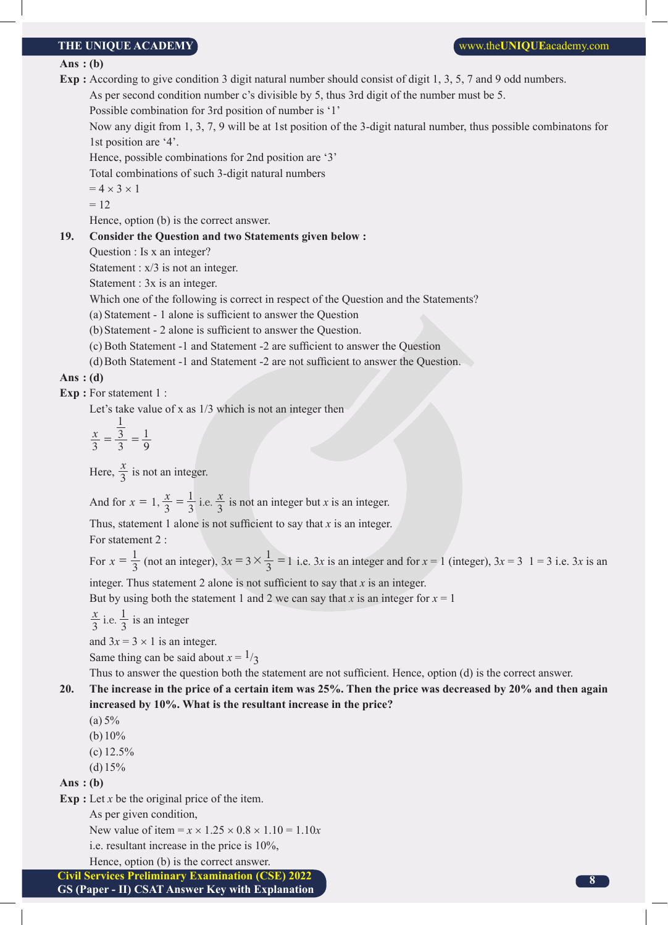#### **Ans : (b)**

**Exp :** According to give condition 3 digit natural number should consist of digit 1, 3, 5, 7 and 9 odd numbers.

As per second condition number c's divisible by 5, thus 3rd digit of the number must be 5.

Possible combination for 3rd position of number is '1'

 Now any digit from 1, 3, 7, 9 will be at 1st position of the 3-digit natural number, thus possible combinatons for 1st position are '4'.

Hence, possible combinations for 2nd position are '3'

Total combinations of such 3-digit natural numbers

 $= 4 \times 3 \times 1$ 

 $= 12$ 

Hence, option (b) is the correct answer.

#### **19. Consider the Question and two Statements given below :**

Question : Is x an integer?

Statement :  $x/3$  is not an integer.

Statement : 3x is an integer.

Which one of the following is correct in respect of the Question and the Statements?

(a) Statement - 1 alone is sufficient to answer the Question

(b)Statement - 2 alone is sufficient to answer the Question.

(c) Both Statement -1 and Statement -2 are sufficient to answer the Question

(d)Both Statement -1 and Statement -2 are not sufficient to answer the Question.

#### **Ans : (d)**

**Exp :** For statement 1 :

Let's take value of x as 1/3 which is not an integer then

$$
\frac{x}{3} = \frac{\frac{1}{3}}{3} = \frac{1}{9}
$$

Here,  $\frac{x}{3}$  is not an integer.

And for  $x = 1$ ,  $\frac{x}{3} = \frac{1}{3}$  i.e.  $\frac{x}{3}$  $= 1, \frac{x}{3} = \frac{1}{3}$  i.e.  $\frac{x}{3}$  is not an integer but *x* is an integer.

Thus, statement 1 alone is not sufficient to say that *x* is an integer. For statement 2 :

For  $x = \frac{1}{3}$  (not an integer),  $3x = 3 \times \frac{1}{3} = 1$  i.e. 3*x* is an integer and for  $x = 1$  (integer),  $3x = 3$  1 = 3 i.e. 3*x* is an integer. Thus statement 2 alone is not sufficient to say that *x* is an integer.

But by using both the statement 1 and 2 we can say that *x* is an integer for  $x = 1$ 

 $\frac{x}{3}$  i.e.  $\frac{1}{3}$  is an integer

and  $3x = 3 \times 1$  is an integer.

Same thing can be said about  $x = \frac{1}{3}$ 

Thus to answer the question both the statement are not sufficient. Hence, option (d) is the correct answer.

**20. The increase in the price of a certain item was 25%. Then the price was decreased by 20% and then again increased by 10%. What is the resultant increase in the price?**

 $(a) 5%$ 

(b)  $10\%$ 

(c)  $12.5%$ 

 $(d)15%$ 

#### **Ans : (b)**

**Exp :** Let *x* be the original price of the item.

As per given condition,

New value of item =  $x \times 1.25 \times 0.8 \times 1.10 = 1.10x$ 

i.e. resultant increase in the price is 10%,

Hence, option (b) is the correct answer.

**Civil Services Preliminary Examination (CSE) 2022**

**GS (Paper - II) CSAT Answer Key with Explanation**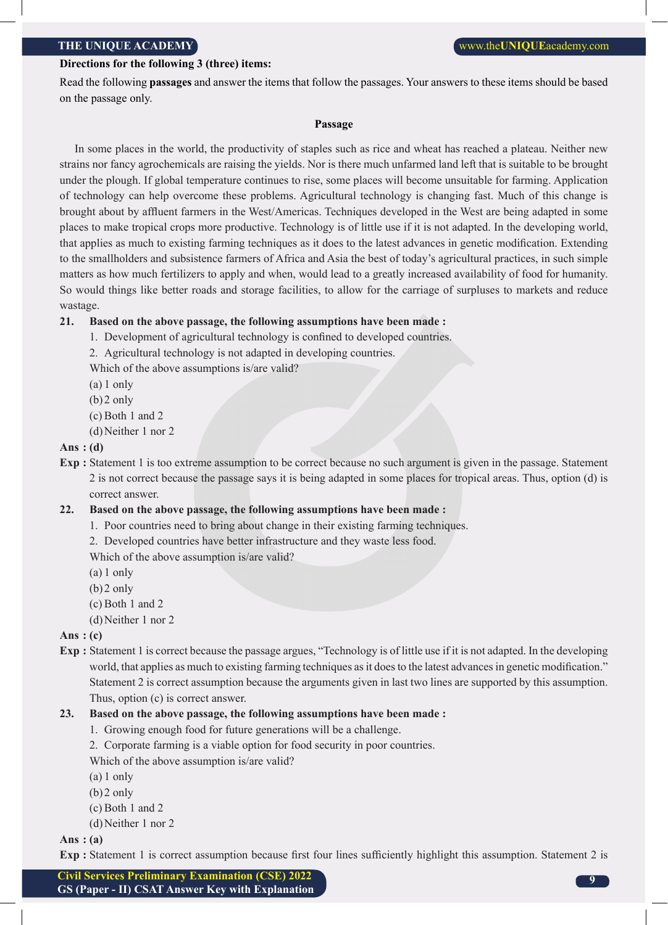#### **Directions for the following 3 (three) items:**

Read the following **passages** and answer the items that follow the passages. Your answers to these items should be based on the passage only.

#### **Passage**

In some places in the world, the productivity of staples such as rice and wheat has reached a plateau. Neither new strains nor fancy agrochemicals are raising the yields. Nor is there much unfarmed land left that is suitable to be brought under the plough. If global temperature continues to rise, some places will become unsuitable for farming. Application of technology can help overcome these problems. Agricultural technology is changing fast. Much of this change is brought about by affluent farmers in the West/Americas. Techniques developed in the West are being adapted in some places to make tropical crops more productive. Technology is of little use if it is not adapted. In the developing world, that applies as much to existing farming techniques as it does to the latest advances in genetic modification. Extending to the smallholders and subsistence farmers of Africa and Asia the best of today's agricultural practices, in such simple matters as how much fertilizers to apply and when, would lead to a greatly increased availability of food for humanity. So would things like better roads and storage facilities, to allow for the carriage of surpluses to markets and reduce wastage.

#### **21. Based on the above passage, the following assumptions have been made :**

- 1. Development of agricultural technology is confined to developed countries.
- 2. Agricultural technology is not adapted in developing countries.
- Which of the above assumptions is/are valid?
- (a) 1 only
- $(b)$ 2 only
- (c) Both 1 and 2
- (d)Neither 1 nor 2

#### **Ans : (d)**

**Exp :** Statement 1 is too extreme assumption to be correct because no such argument is given in the passage. Statement 2 is not correct because the passage says it is being adapted in some places for tropical areas. Thus, option (d) is correct answer.

#### **22. Based on the above passage, the following assumptions have been made :**

- 1. Poor countries need to bring about change in their existing farming techniques.
- 2. Developed countries have better infrastructure and they waste less food.

Which of the above assumption is/are valid?

- (a) 1 only
- (b)2 only
- (c) Both 1 and 2
- (d)Neither 1 nor 2

#### **Ans : (c)**

**Exp :** Statement 1 is correct because the passage argues, "Technology is of little use if it is not adapted. In the developing world, that applies as much to existing farming techniques as it does to the latest advances in genetic modification." Statement 2 is correct assumption because the arguments given in last two lines are supported by this assumption. Thus, option (c) is correct answer.

#### **23. Based on the above passage, the following assumptions have been made :**

- 1. Growing enough food for future generations will be a challenge.
- 2. Corporate farming is a viable option for food security in poor countries.

Which of the above assumption is/are valid?

- (a) 1 only
- $(b)$ 2 only
- (c) Both 1 and 2
- (d)Neither 1 nor 2

#### **Ans : (a)**

**Exp :** Statement 1 is correct assumption because first four lines sufficiently highlight this assumption. Statement 2 is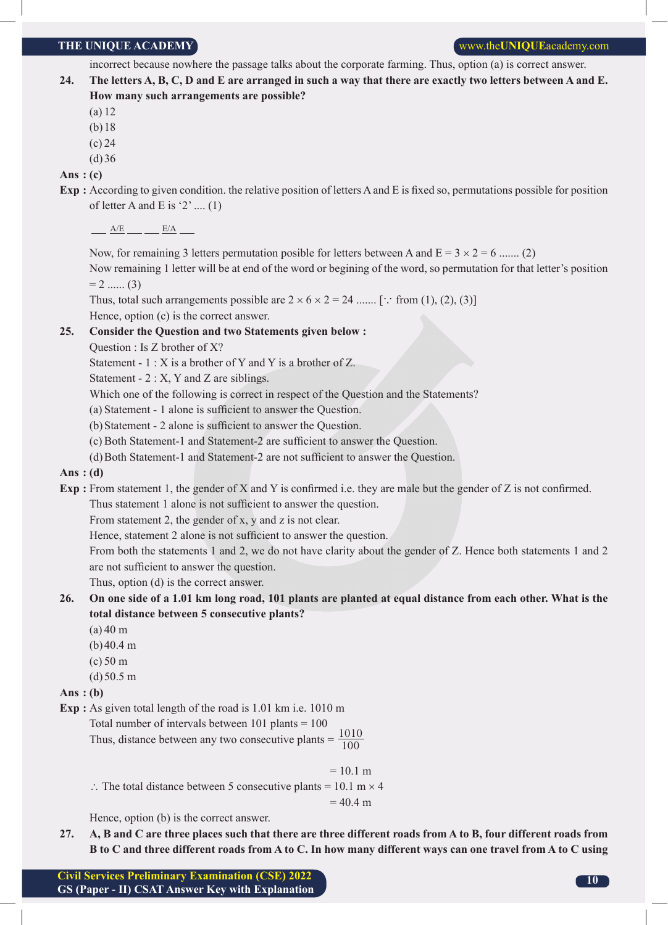incorrect because nowhere the passage talks about the corporate farming. Thus, option (a) is correct answer.

- **24. The letters A, B, C, D and E are arranged in such a way that there are exactly two letters between A and E. How many such arrangements are possible?**
	- (a) 12
	- (b)18
	- (c) 24
	- $(d)36$

**Ans : (c)**

**Exp :** According to given condition. the relative position of letters A and E is fixed so, permutations possible for position of letter A and E is '2' ....  $(1)$ 

 $A/E$   $B/A$ 

Now, for remaining 3 letters permutation posible for letters between A and  $E = 3 \times 2 = 6$  ....... (2)

 Now remaining 1 letter will be at end of the word or begining of the word, so permutation for that letter's position  $= 2$  ...... (3)

Thus, total such arrangements possible are  $2 \times 6 \times 2 = 24$  ....... [ $\therefore$  from (1), (2), (3)] Hence, option (c) is the correct answer.

#### **25. Consider the Question and two Statements given below :**

Question : Is Z brother of X?

Statement - 1 : X is a brother of Y and Y is a brother of Z.

Statement - 2 : X, Y and Z are siblings.

Which one of the following is correct in respect of the Question and the Statements?

(a) Statement - 1 alone is sufficient to answer the Question.

(b)Statement - 2 alone is sufficient to answer the Question.

(c) Both Statement-1 and Statement-2 are sufficient to answer the Question.

(d)Both Statement-1 and Statement-2 are not sufficient to answer the Question.

#### **Ans : (d)**

**Exp :** From statement 1, the gender of X and Y is confirmed i.e. they are male but the gender of Z is not confirmed.

Thus statement 1 alone is not sufficient to answer the question.

From statement 2, the gender of x, y and z is not clear.

Hence, statement 2 alone is not sufficient to answer the question.

From both the statements 1 and 2, we do not have clarity about the gender of Z. Hence both statements 1 and 2 are not sufficient to answer the question.

Thus, option (d) is the correct answer.

- **26. On one side of a 1.01 km long road, 101 plants are planted at equal distance from each other. What is the total distance between 5 consecutive plants?** 
	- $(a)$  40 m
	- (b)40.4 m
	- (c) 50 m
	- $(d)50.5 m$

#### **Ans : (b)**

**Exp :** As given total length of the road is 1.01 km i.e. 1010 m

Total number of intervals between  $101$  plants  $= 100$ 

Thus, distance between any two consecutive plants =  $\frac{1010}{100}$ 

 $= 10.1 m$ 

∴ The total distance between 5 consecutive plants = 10.1 m  $\times$  4

 $= 40.4$  m

Hence, option (b) is the correct answer.

**27. A, B and C are three places such that there are three different roads from A to B, four different roads from B to C and three different roads from A to C. In how many different ways can one travel from A to C using**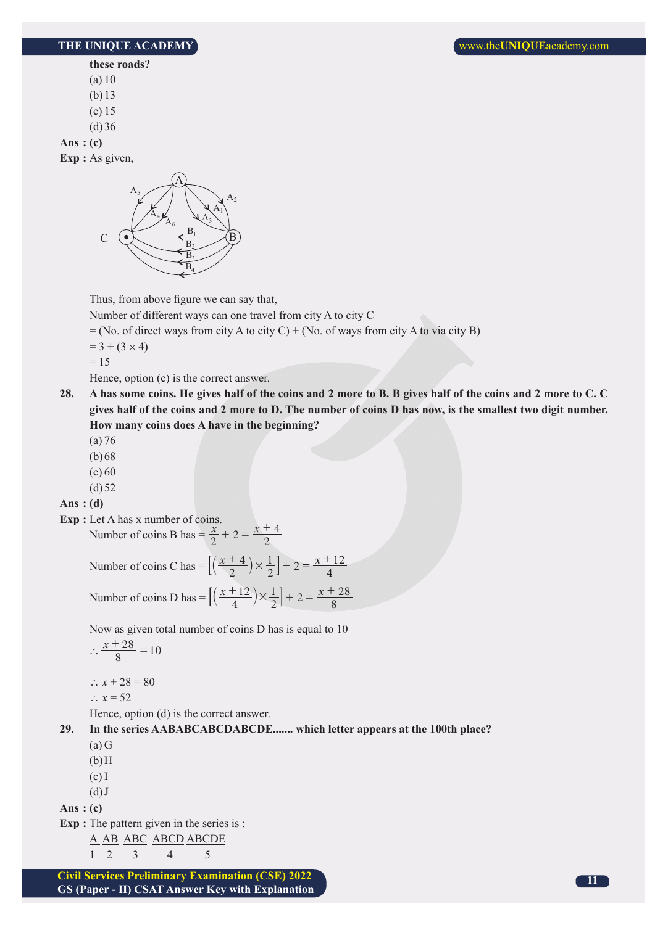**these roads?**

- (a) 10
- (b)13
- (c) 15
- $(d)36$

**Ans : (c)**

**Exp :** As given,



Thus, from above figure we can say that,

Number of different ways can one travel from city A to city C

 $=$  (No. of direct ways from city A to city C) + (No. of ways from city A to via city B)

 $= 3 + (3 \times 4)$ 

 $= 15$ 

Hence, option (c) is the correct answer.

- **28. A has some coins. He gives half of the coins and 2 more to B. B gives half of the coins and 2 more to C. C gives half of the coins and 2 more to D. The number of coins D has now, is the smallest two digit number. How many coins does A have in the beginning?**
	- (a) 76
	- (b)68
	- $(c) 60$
	- $(d)$  52

#### **Ans : (d)**

**Exp :** Let A has x number of coins. Number of coins B has  $= \frac{x}{2} + 2 = \frac{x+4}{2}$ 

> Number of coins C has  $= \left[ \left( \frac{x+4}{2} \right) \times \frac{1}{2} \right] + 2 = \frac{x}{2}$ 4  $\left[\left(\frac{x+4}{2}\right) \times \frac{1}{2}\right] + 2 = \frac{x+12}{4}$

Number of coins D has  $= \left[ \left( \frac{x+12}{4} \right) \times \frac{1}{2} \right] + 2 = \frac{x}{2}$ 12  $\left[\left(\frac{x+12}{4}\right) \times \frac{1}{2}\right] + 2 = \frac{x+28}{8}$ 

Now as given total number of coins D has is equal to 10

$$
\therefore \frac{x+28}{8} = 10
$$

∴  $x + 28 = 80$ 

$$
\therefore x = 52
$$

Hence, option (d) is the correct answer.

**29. In the series AABABCABCDABCDE....... which letter appears at the 100th place?**

- $(a)$  G
- $(b)$ H
- (c) I
- $(d)$  J

**Ans : (c)**

**Exp :** The pattern given in the series is :

A AB ABC ABCD ABCDE

- 1 2 3 4 5
- **Civil Services Preliminary Examination (CSE) 2022 GS (Paper - II) CSAT Answer Key with Explanation**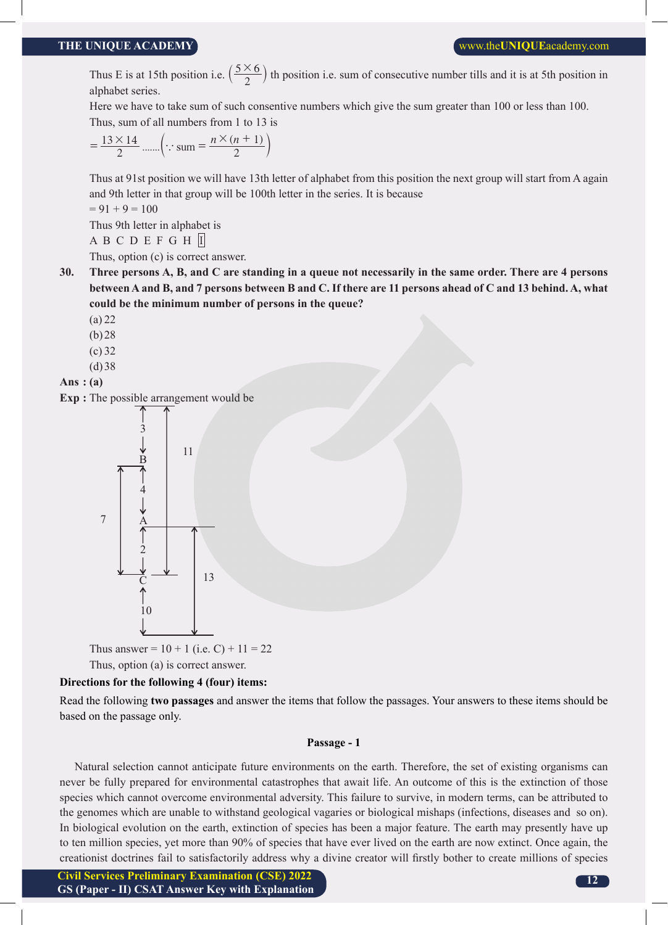Thus E is at 15th position i.e.  $\left(\frac{5\times6}{2}\right)$  th position i.e. sum of consecutive number tills and it is at 5th position in alphabet series.

 Here we have to take sum of such consentive numbers which give the sum greater than 100 or less than 100. Thus, sum of all numbers from 1 to 13 is

$$
= \frac{13 \times 14}{2} \dots \left( \because \text{sum} = \frac{n \times (n+1)}{2} \right)
$$

 Thus at 91st position we will have 13th letter of alphabet from this position the next group will start from A again and 9th letter in that group will be 100th letter in the series. It is because

 $= 91 + 9 = 100$ 

Thus 9th letter in alphabet is

A B C D E F G H I

Thus, option (c) is correct answer.

**30. Three persons A, B, and C are standing in a queue not necessarily in the same order. There are 4 persons between A and B, and 7 persons between B and C. If there are 11 persons ahead of C and 13 behind. A, what could be the minimum number of persons in the queue?**

- (a) 22
- (b)28
- (c) 32
- (d)38
- **Ans : (a)**

**Exp :** The possible arrangement would be



Thus answer =  $10 + 1$  (i.e. C) +  $11 = 22$ Thus, option (a) is correct answer.

#### **Directions for the following 4 (four) items:**

Read the following **two passages** and answer the items that follow the passages. Your answers to these items should be based on the passage only.

#### **Passage - 1**

Natural selection cannot anticipate future environments on the earth. Therefore, the set of existing organisms can never be fully prepared for environmental catastrophes that await life. An outcome of this is the extinction of those species which cannot overcome environmental adversity. This failure to survive, in modern terms, can be attributed to the genomes which are unable to withstand geological vagaries or biological mishaps (infections, diseases and so on). In biological evolution on the earth, extinction of species has been a major feature. The earth may presently have up to ten million species, yet more than 90% of species that have ever lived on the earth are now extinct. Once again, the creationist doctrines fail to satisfactorily address why a divine creator will firstly bother to create millions of species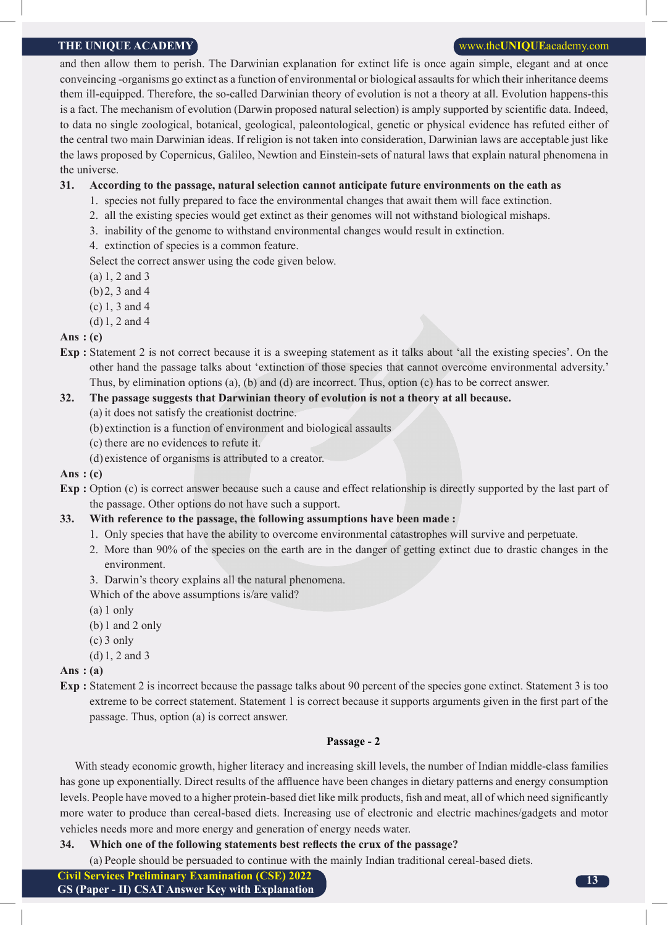and then allow them to perish. The Darwinian explanation for extinct life is once again simple, elegant and at once conveincing -organisms go extinct as a function of environmental or biological assaults for which their inheritance deems them ill-equipped. Therefore, the so-called Darwinian theory of evolution is not a theory at all. Evolution happens-this is a fact. The mechanism of evolution (Darwin proposed natural selection) is amply supported by scientific data. Indeed, to data no single zoological, botanical, geological, paleontological, genetic or physical evidence has refuted either of the central two main Darwinian ideas. If religion is not taken into consideration, Darwinian laws are acceptable just like the laws proposed by Copernicus, Galileo, Newtion and Einstein-sets of natural laws that explain natural phenomena in the universe.

#### **31. According to the passage, natural selection cannot anticipate future environments on the eath as**

- 1. species not fully prepared to face the environmental changes that await them will face extinction.
- 2. all the existing species would get extinct as their genomes will not withstand biological mishaps.
- 3. inability of the genome to withstand environmental changes would result in extinction.
- 4. extinction of species is a common feature.

Select the correct answer using the code given below.

- (a) 1, 2 and 3
- (b)2, 3 and 4
- (c) 1, 3 and 4
- (d)1, 2 and 4

#### **Ans : (c)**

**Exp :** Statement 2 is not correct because it is a sweeping statement as it talks about 'all the existing species'. On the other hand the passage talks about 'extinction of those species that cannot overcome environmental adversity.' Thus, by elimination options (a), (b) and (d) are incorrect. Thus, option (c) has to be correct answer.

#### **32. The passage suggests that Darwinian theory of evolution is not a theory at all because.**

- (a) it does not satisfy the creationist doctrine.
- (b) extinction is a function of environment and biological assaults
- (c) there are no evidences to refute it.
- (d) existence of organisms is attributed to a creator.

#### **Ans : (c)**

- **Exp :** Option (c) is correct answer because such a cause and effect relationship is directly supported by the last part of the passage. Other options do not have such a support.
- **33. With reference to the passage, the following assumptions have been made :**
	- 1. Only species that have the ability to overcome environmental catastrophes will survive and perpetuate.
	- 2. More than 90% of the species on the earth are in the danger of getting extinct due to drastic changes in the environment.
	- 3. Darwin's theory explains all the natural phenomena.
	- Which of the above assumptions is/are valid?
	- (a) 1 only
	- (b)1 and 2 only
	- $(c)$  3 only
	- (d)1, 2 and 3

#### **Ans : (a)**

**Exp :** Statement 2 is incorrect because the passage talks about 90 percent of the species gone extinct. Statement 3 is too extreme to be correct statement. Statement 1 is correct because it supports arguments given in the first part of the passage. Thus, option (a) is correct answer.

#### **Passage - 2**

With steady economic growth, higher literacy and increasing skill levels, the number of Indian middle-class families has gone up exponentially. Direct results of the affluence have been changes in dietary patterns and energy consumption levels. People have moved to a higher protein-based diet like milk products, fish and meat, all of which need significantly more water to produce than cereal-based diets. Increasing use of electronic and electric machines/gadgets and motor vehicles needs more and more energy and generation of energy needs water.

#### **34. Which one of the following statements best reflects the crux of the passage?**

(a) People should be persuaded to continue with the mainly Indian traditional cereal-based diets.

**Civil Services Preliminary Examination (CSE) 2022**

**GS (Paper - II) CSAT Answer Key with Explanation**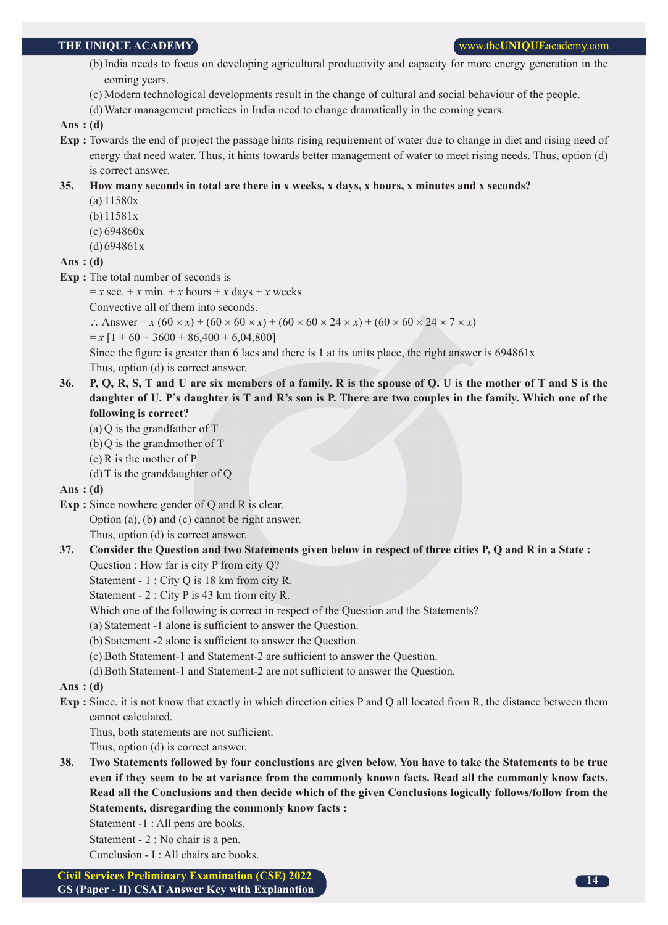#### **THE UNIQUE ACADEMY WE UNIQUE ACADEMY WE UNIQUE WE UNIQUE** academy.com

- (b)India needs to focus on developing agricultural productivity and capacity for more energy generation in the coming years.
- (c) Modern technological developments result in the change of cultural and social behaviour of the people.
- (d)Water management practices in India need to change dramatically in the coming years.

#### **Ans : (d)**

**Exp :** Towards the end of project the passage hints rising requirement of water due to change in diet and rising need of energy that need water. Thus, it hints towards better management of water to meet rising needs. Thus, option (d) is correct answer.

#### **35. How many seconds in total are there in x weeks, x days, x hours, x minutes and x seconds?**

- (a) 11580x
- (b)11581x
- (c) 694860x
- (d)694861x

#### **Ans : (d)**

**Exp :** The total number of seconds is

 $= x \sec + x \min + x \text{ hours} + x \text{ days} + x \text{ weeks}$ 

Convective all of them into seconds.

∴ Answer = *x* (60 × *x*) + (60 × 60 × *x*) + (60 × 60 × 24 × *x*) + (60 × 60 × 24 × 7 × *x*)

 $= x [1 + 60 + 3600 + 86,400 + 6,04,800]$ 

Since the figure is greater than 6 lacs and there is 1 at its units place, the right answer is 694861x

Thus, option (d) is correct answer.

- **36. P, Q, R, S, T and U are six members of a family. R is the spouse of Q. U is the mother of T and S is the daughter of U. P's daughter is T and R's son is P. There are two couples in the family. Which one of the following is correct?**
	- (a) Q is the grandfather of T
	- $(b)$ O is the grandmother of T
	- (c) R is the mother of P
	- (d) T is the granddaughter of  $Q$

#### **Ans : (d)**

- **Exp :** Since nowhere gender of Q and R is clear.
	- Option (a), (b) and (c) cannot be right answer.

Thus, option (d) is correct answer.

**37. Consider the Question and two Statements given below in respect of three cities P, Q and R in a State :**

Question : How far is city P from city Q?

Statement - 1 : City Q is 18 km from city R.

Statement - 2 : City P is 43 km from city R.

- Which one of the following is correct in respect of the Question and the Statements?
- (a) Statement -1 alone is sufficient to answer the Question.
- (b)Statement -2 alone is sufficient to answer the Question.
- (c) Both Statement-1 and Statement-2 are sufficient to answer the Question.
- (d)Both Statement-1 and Statement-2 are not sufficient to answer the Question.

#### **Ans : (d)**

**Exp :** Since, it is not know that exactly in which direction cities P and Q all located from R, the distance between them cannot calculated.

Thus, both statements are not sufficient.

Thus, option (d) is correct answer.

- **38. Two Statements followed by four conclustions are given below. You have to take the Statements to be true even if they seem to be at variance from the commonly known facts. Read all the commonly know facts. Read all the Conclusions and then decide which of the given Conclusions logically follows/follow from the Statements, disregarding the commonly know facts :**
	- Statement -1 : All pens are books.

Statement - 2 : No chair is a pen.

Conclusion - I : All chairs are books.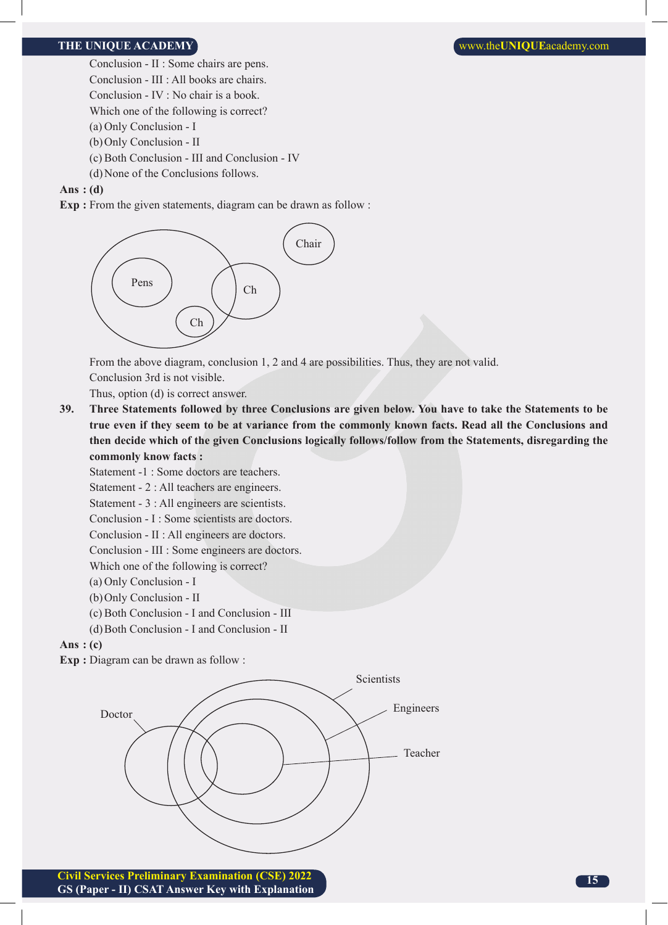Conclusion - II : Some chairs are pens.

- Conclusion III : All books are chairs.
- Conclusion IV : No chair is a book.
- Which one of the following is correct?
- (a) Only Conclusion I
- (b)Only Conclusion II
- (c) Both Conclusion III and Conclusion IV
- (d)None of the Conclusions follows.

#### **Ans : (d)**

**Exp :** From the given statements, diagram can be drawn as follow :



From the above diagram, conclusion 1, 2 and 4 are possibilities. Thus, they are not valid.

Conclusion 3rd is not visible.

Thus, option (d) is correct answer.

**39. Three Statements followed by three Conclusions are given below. You have to take the Statements to be true even if they seem to be at variance from the commonly known facts. Read all the Conclusions and then decide which of the given Conclusions logically follows/follow from the Statements, disregarding the commonly know facts :**

Statement -1 : Some doctors are teachers.

Statement - 2 : All teachers are engineers.

Statement - 3 : All engineers are scientists.

Conclusion - I : Some scientists are doctors.

Conclusion - II : All engineers are doctors.

Conclusion - III : Some engineers are doctors.

Which one of the following is correct?

- (a) Only Conclusion I
- (b)Only Conclusion II
- (c) Both Conclusion I and Conclusion III
- (d)Both Conclusion I and Conclusion II

#### **Ans : (c)**

**Exp :** Diagram can be drawn as follow :

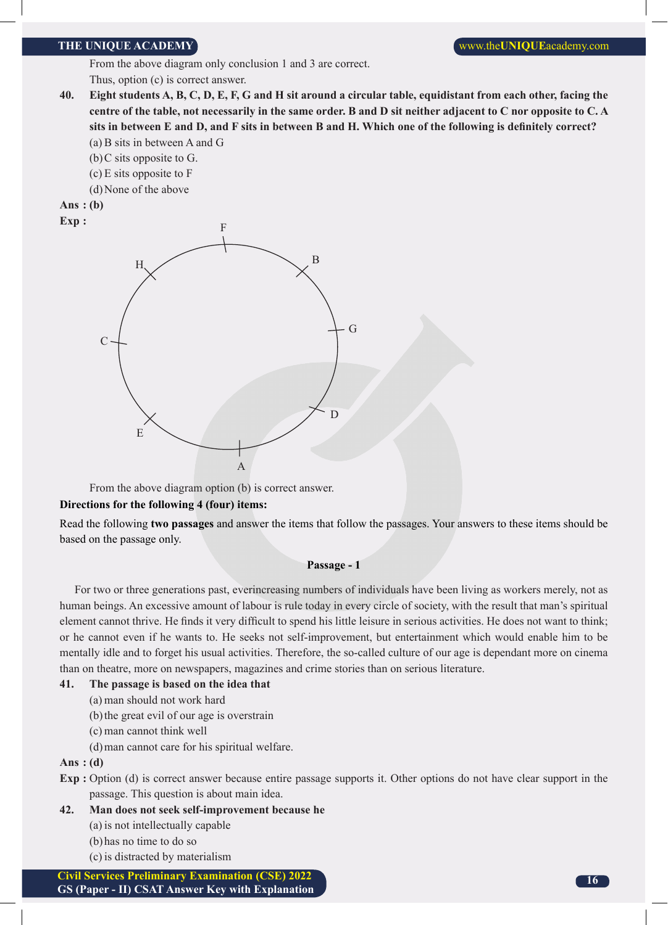From the above diagram only conclusion 1 and 3 are correct. Thus, option (c) is correct answer.

- **40. Eight students A, B, C, D, E, F, G and H sit around a circular table, equidistant from each other, facing the centre of the table, not necessarily in the same order. B and D sit neither adjacent to C nor opposite to C. A sits in between E and D, and F sits in between B and H. Which one of the following is definitely correct?**
	- (a) B sits in between A and G
	- (b)C sits opposite to G.
	- (c) E sits opposite to F
	- (d)None of the above
- **Ans : (b) Exp :**



From the above diagram option (b) is correct answer.

#### **Directions for the following 4 (four) items:**

Read the following **two passages** and answer the items that follow the passages. Your answers to these items should be based on the passage only.

#### **Passage - 1**

For two or three generations past, everincreasing numbers of individuals have been living as workers merely, not as human beings. An excessive amount of labour is rule today in every circle of society, with the result that man's spiritual element cannot thrive. He finds it very difficult to spend his little leisure in serious activities. He does not want to think; or he cannot even if he wants to. He seeks not self-improvement, but entertainment which would enable him to be mentally idle and to forget his usual activities. Therefore, the so-called culture of our age is dependant more on cinema than on theatre, more on newspapers, magazines and crime stories than on serious literature.

#### **41. The passage is based on the idea that**

- (a) man should not work hard
- (b)the great evil of our age is overstrain
- (c) man cannot think well
- (d)man cannot care for his spiritual welfare.

#### **Ans : (d)**

- **Exp :** Option (d) is correct answer because entire passage supports it. Other options do not have clear support in the passage. This question is about main idea.
- **42. Man does not seek self-improvement because he** (a) is not intellectually capable
	- (b)has no time to do so
	- (c) is distracted by materialism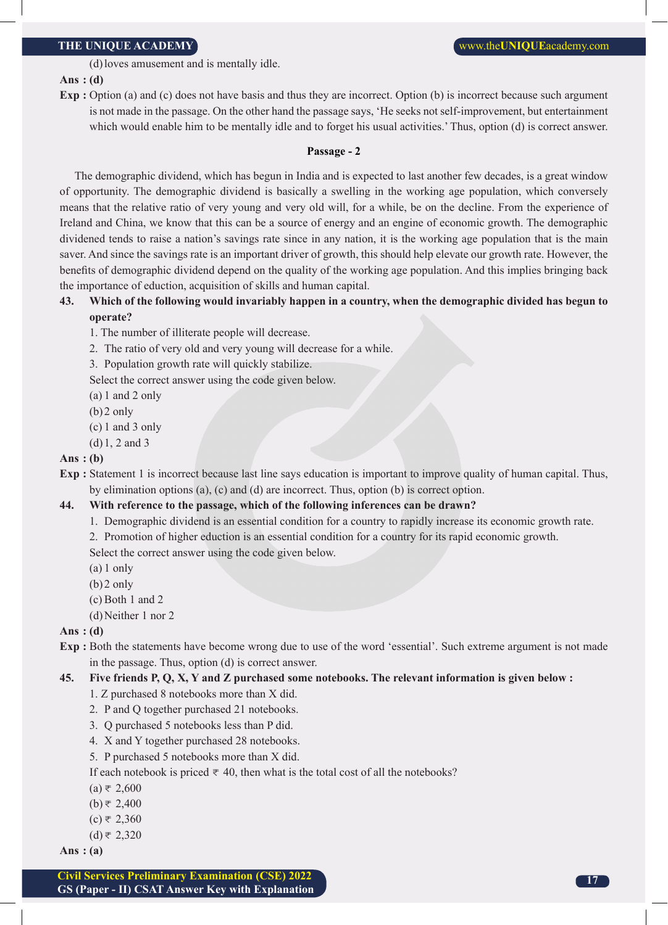(d)loves amusement and is mentally idle.

#### **Ans : (d)**

**Exp** : Option (a) and (c) does not have basis and thus they are incorrect. Option (b) is incorrect because such argument is not made in the passage. On the other hand the passage says, 'He seeks not self-improvement, but entertainment which would enable him to be mentally idle and to forget his usual activities.' Thus, option (d) is correct answer.

#### **Passage - 2**

The demographic dividend, which has begun in India and is expected to last another few decades, is a great window of opportunity. The demographic dividend is basically a swelling in the working age population, which conversely means that the relative ratio of very young and very old will, for a while, be on the decline. From the experience of Ireland and China, we know that this can be a source of energy and an engine of economic growth. The demographic dividened tends to raise a nation's savings rate since in any nation, it is the working age population that is the main saver. And since the savings rate is an important driver of growth, this should help elevate our growth rate. However, the benefits of demographic dividend depend on the quality of the working age population. And this implies bringing back the importance of eduction, acquisition of skills and human capital.

#### **43. Which of the following would invariably happen in a country, when the demographic divided has begun to operate?**

- 1. The number of illiterate people will decrease.
- 2. The ratio of very old and very young will decrease for a while.
- 3. Population growth rate will quickly stabilize.
- Select the correct answer using the code given below.
- (a) 1 and 2 only
- (b)2 only
- (c) 1 and 3 only
- (d)1, 2 and 3

#### **Ans : (b)**

**Exp :** Statement 1 is incorrect because last line says education is important to improve quality of human capital. Thus, by elimination options (a), (c) and (d) are incorrect. Thus, option (b) is correct option.

#### **44. With reference to the passage, which of the following inferences can be drawn?**

- 1. Demographic dividend is an essential condition for a country to rapidly increase its economic growth rate.
- 2. Promotion of higher eduction is an essential condition for a country for its rapid economic growth. Select the correct answer using the code given below.
- (a) 1 only
- (b)2 only
- (c) Both 1 and 2
- (d)Neither 1 nor 2

#### **Ans : (d)**

**Exp :** Both the statements have become wrong due to use of the word 'essential'. Such extreme argument is not made in the passage. Thus, option (d) is correct answer.

#### **45. Five friends P, Q, X, Y and Z purchased some notebooks. The relevant information is given below :**

- 1. Z purchased 8 notebooks more than X did.
- 2. P and Q together purchased 21 notebooks.
- 3. Q purchased 5 notebooks less than P did.
- 4. X and Y together purchased 28 notebooks.
- 5. P purchased 5 notebooks more than X did.

#### If each notebook is priced  $\overline{\tau}$  40, then what is the total cost of all the notebooks?

- $(a) \neq 2,600$
- $(b)$ ₹ 2,400
- $(c) \neq 2,360$
- $(d)$ ₹ 2,320

**Ans : (a)**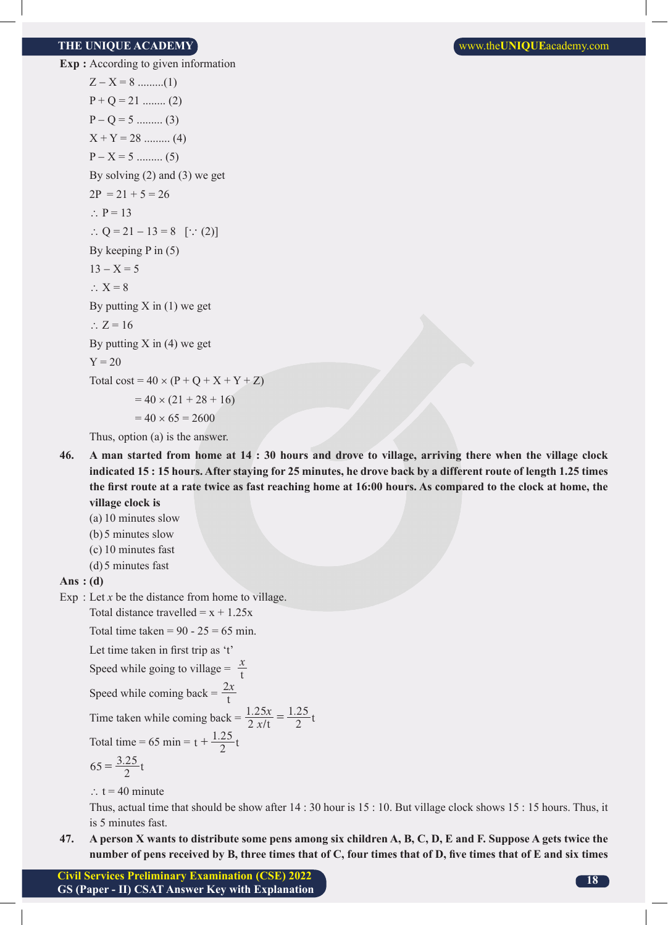**Exp :** According to given information  $Z - X = 8$  ..........(1)  $P + Q = 21$  ......... (2)  $P - Q = 5$  .......... (3)  $X + Y = 28$  ......... (4)  $P - X = 5$  .......... (5) By solving (2) and (3) we get  $2P = 21 + 5 = 26$  $\therefore$  P = 13 ∴ Q = 21 – 13 = 8 [ $\because$  (2)] By keeping P in (5)  $13 - X = 5$  $\therefore$  X = 8 By putting  $X$  in  $(1)$  we get  $\therefore$  Z = 16 By putting  $X$  in  $(4)$  we get  $Y = 20$ Total cost =  $40 \times (P + Q + X + Y + Z)$  $= 40 \times (21 + 28 + 16)$  $= 40 \times 65 = 2600$ Thus, option (a) is the answer.

**46. A man started from home at 14 : 30 hours and drove to village, arriving there when the village clock indicated 15 : 15 hours. After staying for 25 minutes, he drove back by a different route of length 1.25 times the first route at a rate twice as fast reaching home at 16:00 hours. As compared to the clock at home, the village clock is**

(a) 10 minutes slow

- (b)5 minutes slow
- (c) 10 minutes fast
- (d)5 minutes fast

#### **Ans : (d)**

Exp  $:$  Let  $x$  be the distance from home to village.

Total distance travelled  $= x + 1.25x$ 

Total time taken =  $90 - 25 = 65$  min.

Let time taken in first trip as 't'

Speed while going to village =  $\frac{x}{t}$ 

Speed while coming back = 
$$
\frac{2x}{t}
$$

Time taken while coming back =  $\frac{1.25x}{2xt} = \frac{1.25}{2}$  t 1 25*x*  $=\frac{1.25}{2}$ 

Total time = 65 min = 
$$
t + \frac{1.25}{2}t
$$

$$
65 = \frac{3.25}{2}t
$$

∴ t = 40 minute

 Thus, actual time that should be show after 14 : 30 hour is 15 : 10. But village clock shows 15 : 15 hours. Thus, it is 5 minutes fast.

**47. A person X wants to distribute some pens among six children A, B, C, D, E and F. Suppose A gets twice the number of pens received by B, three times that of C, four times that of D, five times that of E and six times**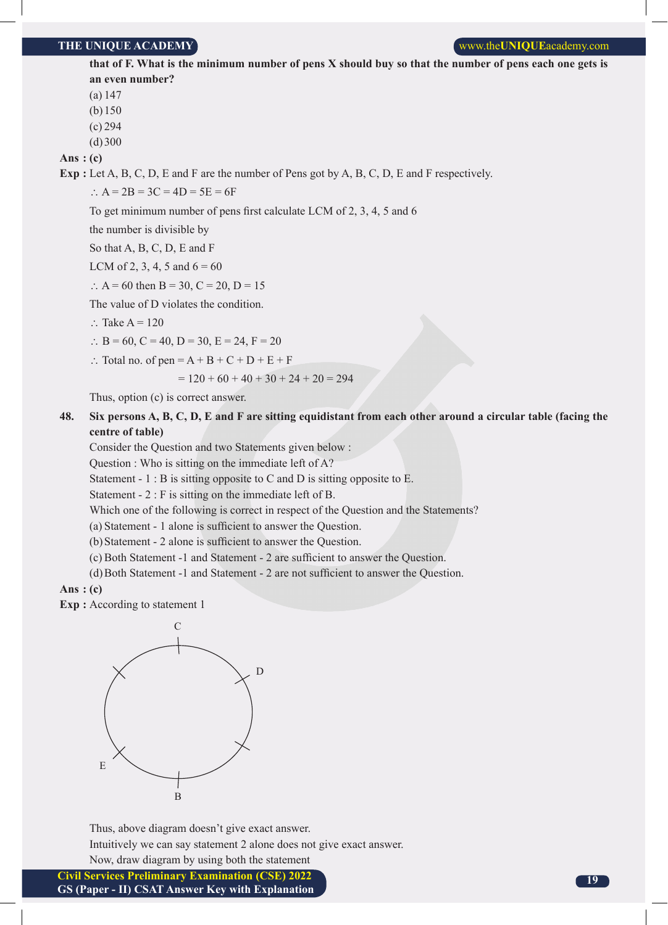#### **THE UNIQUE ACADEMY WE UNIQUE ACADEMY WE UNIQUE WE UNIQUE** academy.com

**that of F. What is the minimum number of pens X should buy so that the number of pens each one gets is an even number?**

(a) 147

(b)150

(c) 294

 $(d)300$ 

**Ans : (c)**

**Exp :** Let A, B, C, D, E and F are the number of Pens got by A, B, C, D, E and F respectively.

∴  $A = 2B = 3C = 4D = 5E = 6F$ 

To get minimum number of pens first calculate LCM of 2, 3, 4, 5 and 6

the number is divisible by

So that A, B, C, D, E and F

LCM of 2, 3, 4, 5 and  $6 = 60$ 

∴ A = 60 then B = 30, C = 20, D = 15

The value of D violates the condition.

∴ Take A =  $120$ 

- ∴ B = 60, C = 40, D = 30, E = 24, F = 20
- ∴ Total no. of pen = A + B + C + D + E + F

$$
= 120 + 60 + 40 + 30 + 24 + 20 = 294
$$

Thus, option (c) is correct answer.

#### **48. Six persons A, B, C, D, E and F are sitting equidistant from each other around a circular table (facing the centre of table)**

Consider the Question and two Statements given below :

Question : Who is sitting on the immediate left of A?

Statement - 1 : B is sitting opposite to C and D is sitting opposite to E.

Statement - 2 : F is sitting on the immediate left of B.

Which one of the following is correct in respect of the Question and the Statements?

(a) Statement - 1 alone is sufficient to answer the Question.

(b)Statement - 2 alone is sufficient to answer the Question.

(c) Both Statement -1 and Statement - 2 are sufficient to answer the Question.

(d)Both Statement -1 and Statement - 2 are not sufficient to answer the Question.

#### **Ans : (c)**

**Exp :** According to statement 1



Thus, above diagram doesn't give exact answer.

Intuitively we can say statement 2 alone does not give exact answer.

Now, draw diagram by using both the statement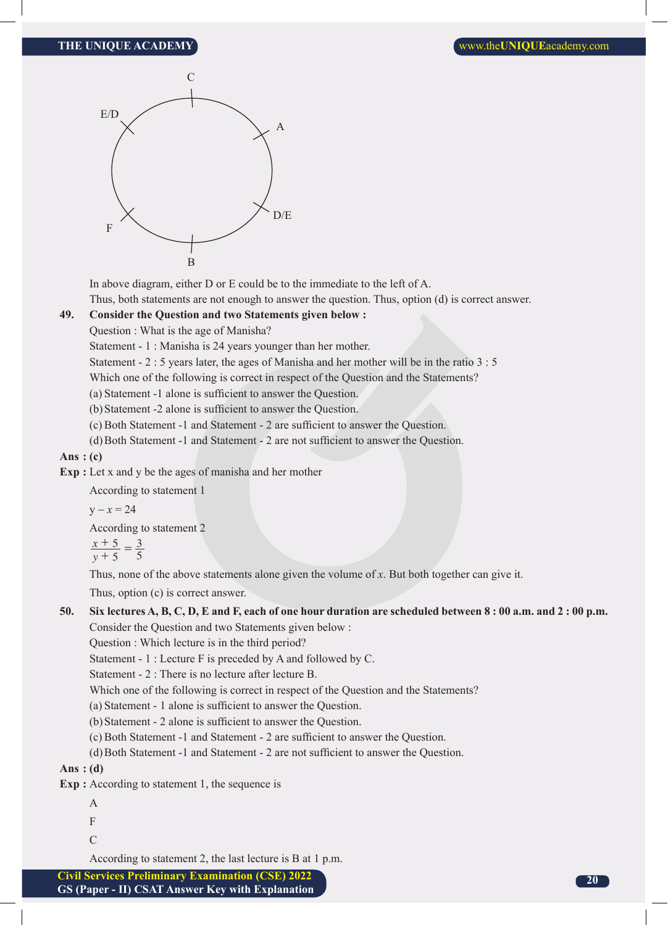

In above diagram, either D or E could be to the immediate to the left of A.

Thus, both statements are not enough to answer the question. Thus, option (d) is correct answer.

#### **49. Consider the Question and two Statements given below :**

Question : What is the age of Manisha?

Statement - 1 : Manisha is 24 years younger than her mother.

Statement - 2 : 5 years later, the ages of Manisha and her mother will be in the ratio 3 : 5

Which one of the following is correct in respect of the Question and the Statements?

(a) Statement -1 alone is sufficient to answer the Question.

(b)Statement -2 alone is sufficient to answer the Question.

(c) Both Statement -1 and Statement - 2 are sufficient to answer the Question.

(d)Both Statement -1 and Statement - 2 are not sufficient to answer the Question.

**Ans : (c)**

**Exp :** Let x and y be the ages of manisha and her mother

According to statement 1

 $y - x = 24$ 

According to statement 2

 $\frac{x}{y}$ 5 3  $\frac{+5}{+5}$  =

5 5

Thus, none of the above statements alone given the volume of *x*. But both together can give it.

Thus, option (c) is correct answer.

#### **50. Six lectures A, B, C, D, E and F, each of one hour duration are scheduled between 8 : 00 a.m. and 2 : 00 p.m.** Consider the Question and two Statements given below :

Question : Which lecture is in the third period?

Statement - 1 : Lecture F is preceded by A and followed by C.

Statement - 2 : There is no lecture after lecture B.

Which one of the following is correct in respect of the Question and the Statements?

(a) Statement - 1 alone is sufficient to answer the Question.

(b)Statement - 2 alone is sufficient to answer the Question.

(c) Both Statement -1 and Statement - 2 are sufficient to answer the Question.

(d)Both Statement -1 and Statement - 2 are not sufficient to answer the Question.

**Ans : (d)**

**Exp :** According to statement 1, the sequence is

- A
	- F
	- C

According to statement 2, the last lecture is B at 1 p.m.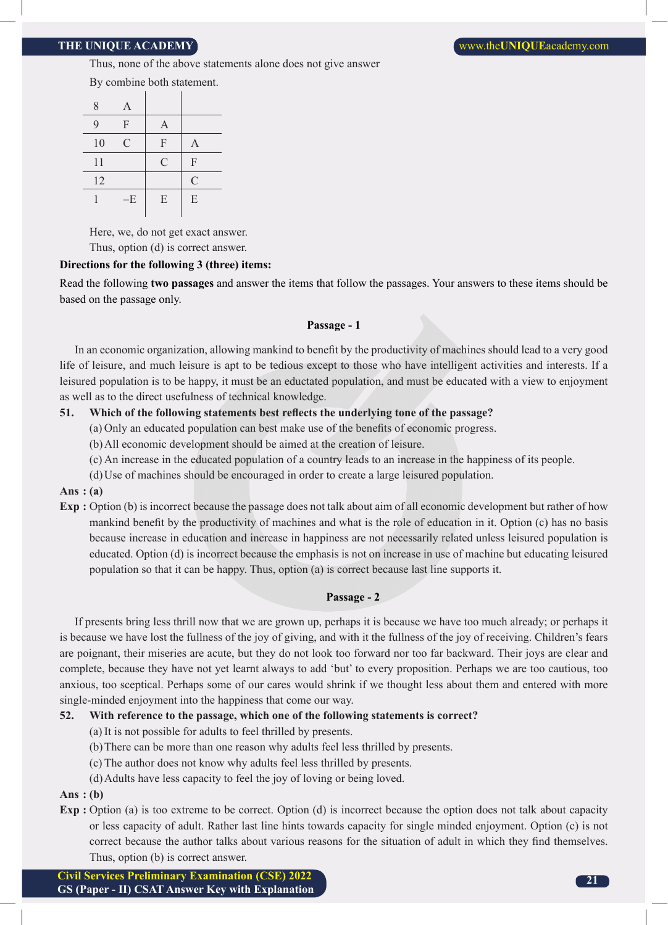Thus, none of the above statements alone does not give answer

By combine both statement.

| 8  | A             |                |               |
|----|---------------|----------------|---------------|
| 9  | F             | $\overline{A}$ |               |
| 10 | $\mathcal{C}$ | F              | A             |
| 11 |               | $\mathcal{C}$  | F             |
| 12 |               |                | $\mathcal{C}$ |
|    | $-E$          | E              | E             |
|    |               |                |               |

Here, we, do not get exact answer.

Thus, option (d) is correct answer.

#### **Directions for the following 3 (three) items:**

Read the following **two passages** and answer the items that follow the passages. Your answers to these items should be based on the passage only.

#### **Passage - 1**

In an economic organization, allowing mankind to benefit by the productivity of machines should lead to a very good life of leisure, and much leisure is apt to be tedious except to those who have intelligent activities and interests. If a leisured population is to be happy, it must be an eductated population, and must be educated with a view to enjoyment as well as to the direct usefulness of technical knowledge.

#### **51. Which of the following statements best reflects the underlying tone of the passage?**

- (a) Only an educated population can best make use of the benefits of economic progress.
- (b)All economic development should be aimed at the creation of leisure.
- (c) An increase in the educated population of a country leads to an increase in the happiness of its people.
- (d)Use of machines should be encouraged in order to create a large leisured population.

#### **Ans : (a)**

**Exp :** Option (b) is incorrect because the passage does not talk about aim of all economic development but rather of how mankind benefit by the productivity of machines and what is the role of education in it. Option (c) has no basis because increase in education and increase in happiness are not necessarily related unless leisured population is educated. Option (d) is incorrect because the emphasis is not on increase in use of machine but educating leisured population so that it can be happy. Thus, option (a) is correct because last line supports it.

#### **Passage - 2**

If presents bring less thrill now that we are grown up, perhaps it is because we have too much already; or perhaps it is because we have lost the fullness of the joy of giving, and with it the fullness of the joy of receiving. Children's fears are poignant, their miseries are acute, but they do not look too forward nor too far backward. Their joys are clear and complete, because they have not yet learnt always to add 'but' to every proposition. Perhaps we are too cautious, too anxious, too sceptical. Perhaps some of our cares would shrink if we thought less about them and entered with more single-minded enjoyment into the happiness that come our way.

#### **52. With reference to the passage, which one of the following statements is correct?**

- (a) It is not possible for adults to feel thrilled by presents.
- (b)There can be more than one reason why adults feel less thrilled by presents.
- (c) The author does not know why adults feel less thrilled by presents.
- (d)Adults have less capacity to feel the joy of loving or being loved.

#### **Ans : (b)**

**Exp :** Option (a) is too extreme to be correct. Option (d) is incorrect because the option does not talk about capacity or less capacity of adult. Rather last line hints towards capacity for single minded enjoyment. Option (c) is not correct because the author talks about various reasons for the situation of adult in which they find themselves. Thus, option (b) is correct answer.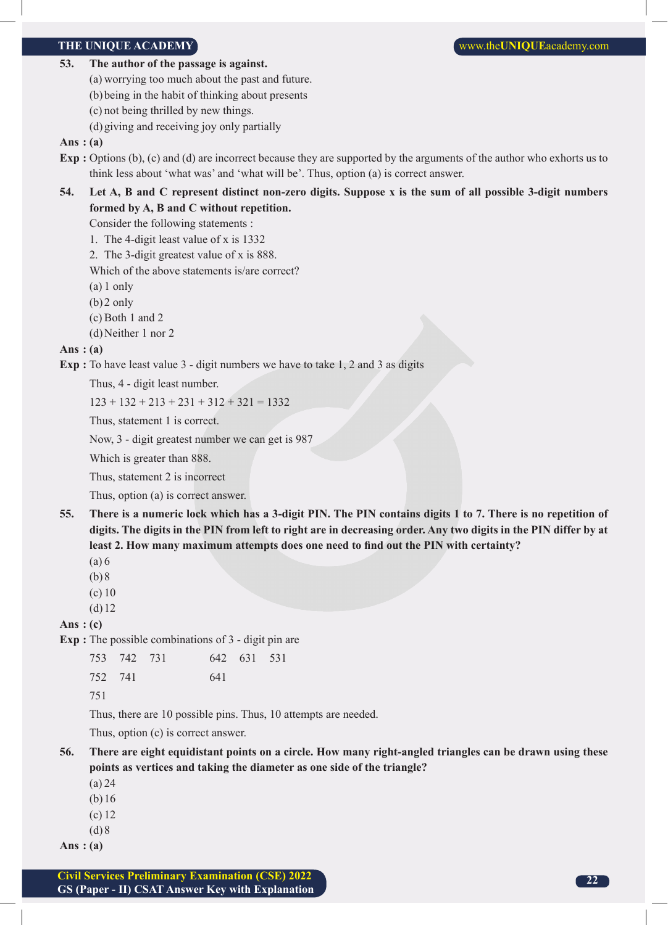- **53. The author of the passage is against.**
	- (a) worrying too much about the past and future.
	- (b)being in the habit of thinking about presents
	- (c) not being thrilled by new things.
	- (d)giving and receiving joy only partially

#### **Ans : (a)**

- **Exp :** Options (b), (c) and (d) are incorrect because they are supported by the arguments of the author who exhorts us to think less about 'what was' and 'what will be'. Thus, option (a) is correct answer.
- **54. Let A, B and C represent distinct non-zero digits. Suppose x is the sum of all possible 3-digit numbers formed by A, B and C without repetition.**

Consider the following statements :

- 1. The 4-digit least value of x is 1332
- 2. The 3-digit greatest value of x is 888.

Which of the above statements is/are correct?

- (a) 1 only
- (b)2 only
- (c) Both 1 and 2
- (d)Neither 1 nor 2

#### **Ans : (a)**

**Exp :** To have least value 3 - digit numbers we have to take 1, 2 and 3 as digits

Thus, 4 - digit least number.

 $123 + 132 + 213 + 231 + 312 + 321 = 1332$ 

Thus, statement 1 is correct.

Now, 3 - digit greatest number we can get is 987

Which is greater than 888.

Thus, statement 2 is incorrect

Thus, option (a) is correct answer.

- **55. There is a numeric lock which has a 3-digit PIN. The PIN contains digits 1 to 7. There is no repetition of digits. The digits in the PIN from left to right are in decreasing order. Any two digits in the PIN differ by at least 2. How many maximum attempts does one need to find out the PIN with certainty?**
	- (a) 6
	- $(b)8$
	- (c) 10
	- (d)12

**Ans : (c)**

**Exp :** The possible combinations of 3 - digit pin are

| 753 742 731 |     | 642 631 531 |  |
|-------------|-----|-------------|--|
| 752 741     | 641 |             |  |

751

Thus, there are 10 possible pins. Thus, 10 attempts are needed.

Thus, option (c) is correct answer.

- **56. There are eight equidistant points on a circle. How many right-angled triangles can be drawn using these points as vertices and taking the diameter as one side of the triangle?**
	- (a) 24
	- (b)16
	- (c) 12
	- $(d)8$
- **Ans : (a)**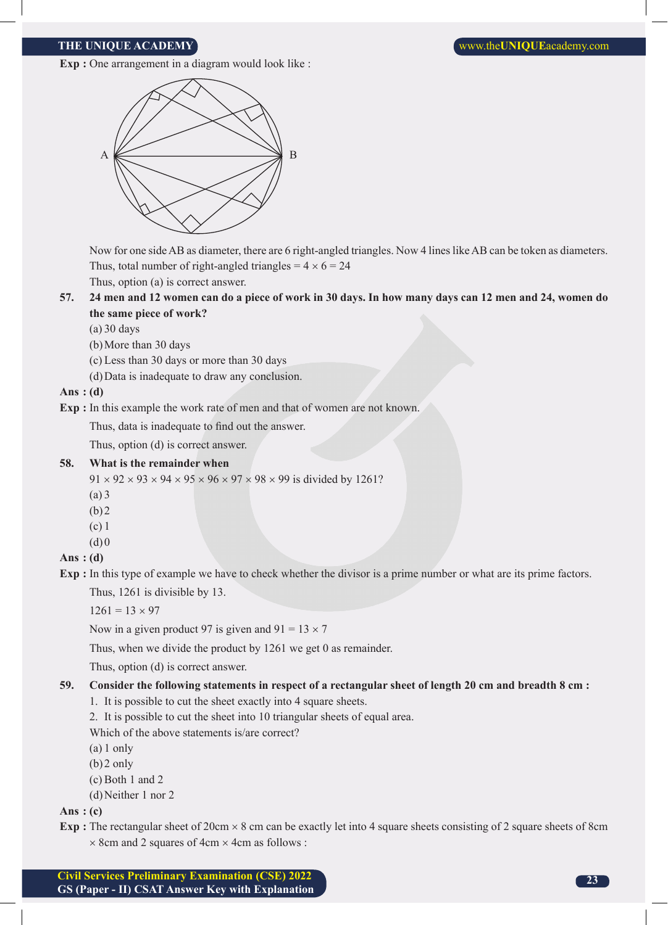**Exp** : One arrangement in a diagram would look like :



 Now for one side AB as diameter, there are 6 right-angled triangles. Now 4 lines like AB can be token as diameters. Thus, total number of right-angled triangles =  $4 \times 6 = 24$ Thus, option (a) is correct answer.

**57. 24 men and 12 women can do a piece of work in 30 days. In how many days can 12 men and 24, women do the same piece of work?**

(a) 30 days

- (b)More than 30 days
- (c) Less than 30 days or more than 30 days
- (d)Data is inadequate to draw any conclusion.

**Ans : (d)**

**Exp :** In this example the work rate of men and that of women are not known.

Thus, data is inadequate to find out the answer.

Thus, option (d) is correct answer.

#### **58. What is the remainder when**

 $91 \times 92 \times 93 \times 94 \times 95 \times 96 \times 97 \times 98 \times 99$  is divided by 1261?

- (a) 3
- (b)2
- (c) 1
- $(d)0$

#### **Ans : (d)**

**Exp :** In this type of example we have to check whether the divisor is a prime number or what are its prime factors.

Thus, 1261 is divisible by 13.

 $1261 = 13 \times 97$ 

Now in a given product 97 is given and  $91 = 13 \times 7$ 

Thus, when we divide the product by 1261 we get 0 as remainder.

Thus, option (d) is correct answer.

#### **59. Consider the following statements in respect of a rectangular sheet of length 20 cm and breadth 8 cm :**

- 1. It is possible to cut the sheet exactly into 4 square sheets.
- 2. It is possible to cut the sheet into 10 triangular sheets of equal area.

Which of the above statements is/are correct?

- (a) 1 only
- (b)2 only
- (c) Both 1 and 2
- (d)Neither 1 nor 2

#### **Ans : (c)**

**Exp** : The rectangular sheet of 20cm  $\times$  8 cm can be exactly let into 4 square sheets consisting of 2 square sheets of 8cm  $\times$  8cm and 2 squares of 4cm  $\times$  4cm as follows :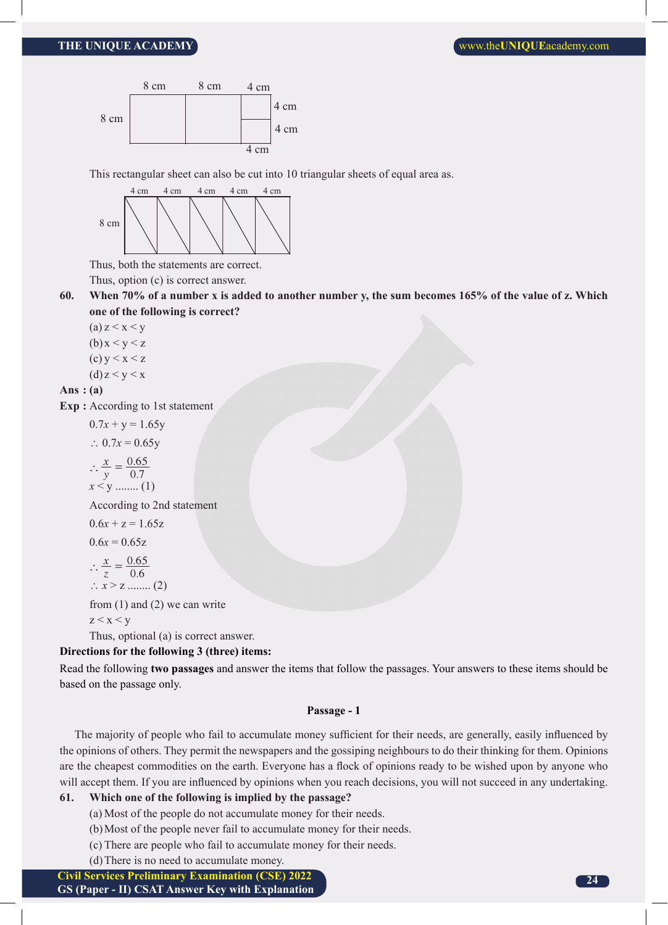

This rectangular sheet can also be cut into 10 triangular sheets of equal area as.



Thus, both the statements are correct.

Thus, option (c) is correct answer.

**60. When 70% of a number x is added to another number y, the sum becomes 165% of the value of z. Which one of the following is correct?**

(a)  $z < x < y$  $(b)x < y < z$ 

- (c)  $y < x < z$
- $(d)$  z < y < x

#### **Ans : (a)**

**Exp :** According to 1st statement

 $0.7x + y = 1.65y$ ∴ 0.7 $x = 0.65y$  $\therefore \frac{x}{y} = \frac{0.6}{0.5}$ *y x* 0.7  $\therefore \frac{x}{y} = \frac{0.65}{0.7}$  $x < y$  ......... (1) According to 2nd statement  $0.6x + z = 1.65z$ 

$$
0.6x = 0.65z
$$

 $\therefore \frac{x}{z} = \frac{0.6}{0.5}$ *z x*  $0.6$  $\therefore \frac{x}{5} = \frac{0.65}{0.6}$ 

```
\therefore x > z ......... (2)
```
from (1) and (2) we can write

$$
z\,{<}\,x\,{<}\,y
$$

Thus, optional (a) is correct answer.

#### **Directions for the following 3 (three) items:**

Read the following **two passages** and answer the items that follow the passages. Your answers to these items should be based on the passage only.

#### **Passage - 1**

The majority of people who fail to accumulate money sufficient for their needs, are generally, easily influenced by the opinions of others. They permit the newspapers and the gossiping neighbours to do their thinking for them. Opinions are the cheapest commodities on the earth. Everyone has a flock of opinions ready to be wished upon by anyone who will accept them. If you are influenced by opinions when you reach decisions, you will not succeed in any undertaking.

#### **61. Which one of the following is implied by the passage?**

- (a) Most of the people do not accumulate money for their needs.
- (b)Most of the people never fail to accumulate money for their needs.
- (c) There are people who fail to accumulate money for their needs.
- (d)There is no need to accumulate money.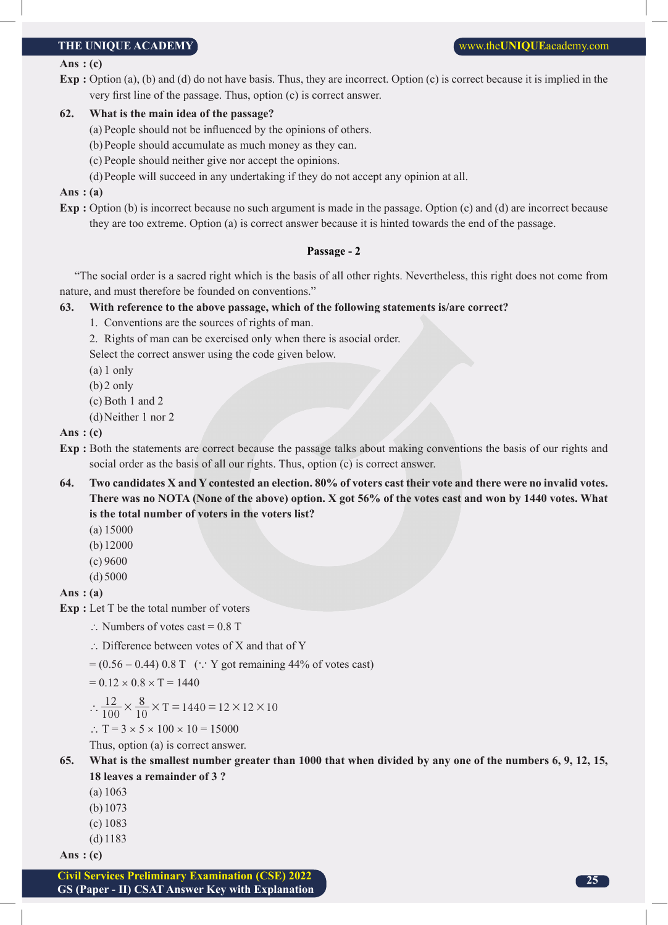#### **Ans : (c)**

**Exp :** Option (a), (b) and (d) do not have basis. Thus, they are incorrect. Option (c) is correct because it is implied in the very first line of the passage. Thus, option (c) is correct answer.

#### **62. What is the main idea of the passage?**

- (a) People should not be influenced by the opinions of others.
- (b)People should accumulate as much money as they can.
- (c) People should neither give nor accept the opinions.
- (d)People will succeed in any undertaking if they do not accept any opinion at all.

#### **Ans : (a)**

**Exp :** Option (b) is incorrect because no such argument is made in the passage. Option (c) and (d) are incorrect because they are too extreme. Option (a) is correct answer because it is hinted towards the end of the passage.

#### **Passage - 2**

"The social order is a sacred right which is the basis of all other rights. Nevertheless, this right does not come from nature, and must therefore be founded on conventions."

#### **63. With reference to the above passage, which of the following statements is/are correct?**

- 1. Conventions are the sources of rights of man.
- 2. Rights of man can be exercised only when there is asocial order.

Select the correct answer using the code given below.

- (a) 1 only
- (b)2 only
- (c) Both 1 and 2
- (d)Neither 1 nor 2

#### **Ans : (c)**

- **Exp :** Both the statements are correct because the passage talks about making conventions the basis of our rights and social order as the basis of all our rights. Thus, option (c) is correct answer.
- **64. Two candidates X and Y contested an election. 80% of voters cast their vote and there were no invalid votes. There was no NOTA (None of the above) option. X got 56% of the votes cast and won by 1440 votes. What is the total number of voters in the voters list?**
	- (a) 15000
	- (b)12000
	- (c) 9600
	- $(d)5000$

**Ans : (a)**

- **Exp :** Let T be the total number of voters
	- ∴ Numbers of votes cast =  $0.8$  T
	- ∴ Difference between votes of X and that of Y
	- $= (0.56 0.44) 0.8$  T (: Y got remaining 44% of votes cast)

 $= 0.12 \times 0.8 \times T = 1440$ 

$$
\therefore \frac{12}{100} \times \frac{8}{10} \times T = 1440 = 12 \times 12 \times 10
$$

$$
\therefore T = 3 \times 5 \times 100 \times 10 = 15000
$$

Thus, option (a) is correct answer.

#### **65. What is the smallest number greater than 1000 that when divided by any one of the numbers 6, 9, 12, 15, 18 leaves a remainder of 3 ?**

- (a) 1063
- (b)1073
- (c) 1083
- (d)1183

**Ans : (c)**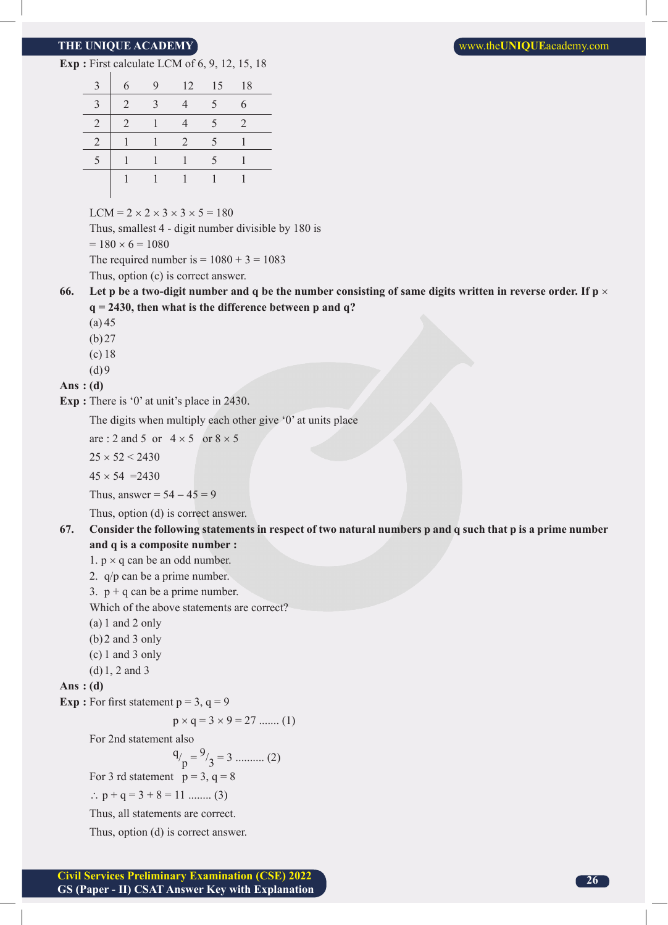**Exp :** First calculate LCM of 6, 9, 12, 15, 18

| $\mathbf{c}$   | 6 | 9 | 12             | 15 | -18                         |  |
|----------------|---|---|----------------|----|-----------------------------|--|
| 3              | 2 | 3 |                | 5  | 6                           |  |
| $\overline{2}$ | 2 |   |                | 5  | $\mathcal{D}_{\mathcal{L}}$ |  |
| $\overline{2}$ |   |   | $\overline{2}$ | 5  |                             |  |
|                |   |   |                | 5  |                             |  |
|                |   |   |                |    |                             |  |
|                |   |   |                |    |                             |  |

 $LCM = 2 \times 2 \times 3 \times 3 \times 5 = 180$ 

Thus, smallest 4 - digit number divisible by 180 is

 $= 180 \times 6 = 1080$ 

The required number is  $= 1080 + 3 = 1083$ 

Thus, option (c) is correct answer.

**66.** Let p be a two-digit number and q be the number consisting of same digits written in reverse order. If  $p \times p$ **q = 2430, then what is the difference between p and q?**

(a) 45

- (b)27
- (c) 18
- $(d)9$

#### **Ans : (d)**

**Exp** : There is '0' at unit's place in 2430.

The digits when multiply each other give '0' at units place

are : 2 and 5 or  $4 \times 5$  or  $8 \times 5$ 

 $25 \times 52 < 2430$ 

 $45 \times 54 = 2430$ 

Thus, answer =  $54 - 45 = 9$ 

Thus, option (d) is correct answer.

#### **67. Consider the following statements in respect of two natural numbers p and q such that p is a prime number and q is a composite number :**

1.  $p \times q$  can be an odd number.

- 2. q/p can be a prime number.
- 3.  $p + q$  can be a prime number.

Which of the above statements are correct?

- (a) 1 and 2 only
- (b)2 and 3 only
- (c) 1 and 3 only
- (d)1, 2 and 3

**Ans : (d)**

**Exp** : For first statement  $p = 3$ ,  $q = 9$ 

 $p \times q = 3 \times 9 = 27$  ....... (1)

For 2nd statement also

 $q_{\ell}$  $p = \frac{9}{3} = 3 \dots (2)$ 

For 3 rd statement  $p = 3$ ,  $q = 8$ 

∴  $p + q = 3 + 8 = 11$  ........ (3)

Thus, all statements are correct.

Thus, option (d) is correct answer.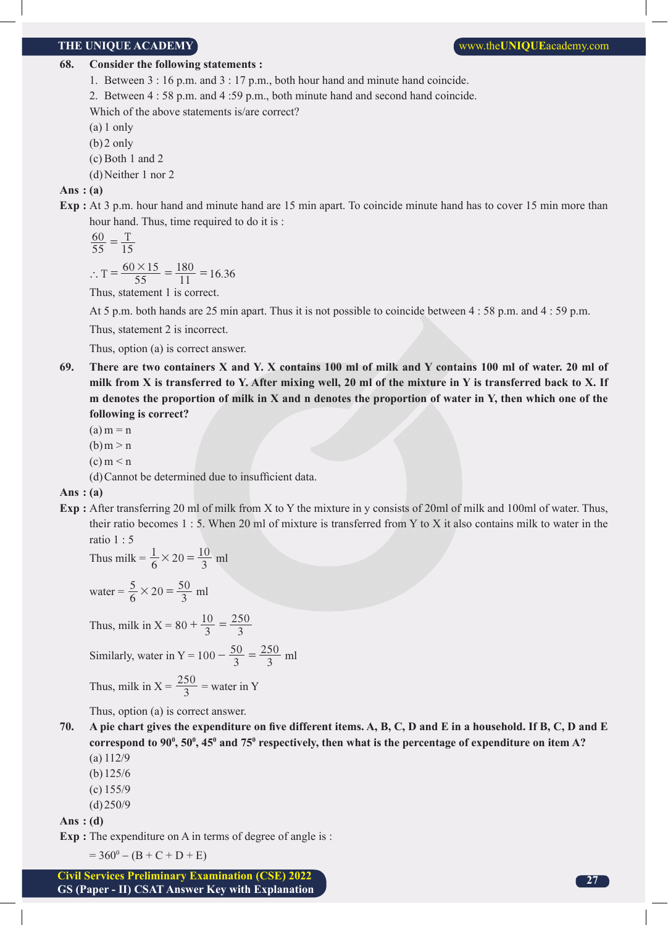#### **68. Consider the following statements :**

- 1. Between 3 : 16 p.m. and 3 : 17 p.m., both hour hand and minute hand coincide.
- 2. Between 4 : 58 p.m. and 4 :59 p.m., both minute hand and second hand coincide.

Which of the above statements is/are correct?

- (a) 1 only
- (b)2 only
- (c) Both 1 and 2
- (d)Neither 1 nor 2

#### **Ans : (a)**

**Exp :** At 3 p.m. hour hand and minute hand are 15 min apart. To coincide minute hand has to cover 15 min more than hour hand. Thus, time required to do it is :

$$
\frac{60}{55} = \frac{T}{15}
$$

$$
\begin{array}{cc}\n & 15 \\
& 60 \times 1\n\end{array}
$$

$$
\therefore T = \frac{60 \times 15}{55} = \frac{180}{11} = 16.36
$$

Thus, statement 1 is correct.

At 5 p.m. both hands are 25 min apart. Thus it is not possible to coincide between 4 : 58 p.m. and 4 : 59 p.m.

Thus, statement 2 is incorrect.

Thus, option (a) is correct answer.

**69. There are two containers X and Y. X contains 100 ml of milk and Y contains 100 ml of water. 20 ml of milk from X is transferred to Y. After mixing well, 20 ml of the mixture in Y is transferred back to X. If m denotes the proportion of milk in X and n denotes the proportion of water in Y, then which one of the following is correct?**

 $(a)$  m = n

- $(b)$ m > n
- $(c)$  m  $\leq$  n
- (d)Cannot be determined due to insufficient data.

#### **Ans : (a)**

**Exp :** After transferring 20 ml of milk from X to Y the mixture in y consists of 20ml of milk and 100ml of water. Thus, their ratio becomes 1 : 5. When 20 ml of mixture is transferred from Y to X it also contains milk to water in the ratio 1 : 5

Thus milk = 
$$
\frac{1}{6} \times 20 = \frac{10}{3}
$$
 ml

water = 
$$
\frac{5}{6} \times 20 = \frac{50}{3}
$$
 ml

Thus, milk in X = 80 + 
$$
\frac{10}{3}
$$
 =  $\frac{250}{3}$ 

Similarly, water in Y = 
$$
100 - \frac{50}{3} = \frac{250}{3}
$$
 ml

Thus, milk in 
$$
X = \frac{250}{3} =
$$
water in Y

Thus, option (a) is correct answer.

- **70. A pie chart gives the expenditure on five different items. A, B, C, D and E in a household. If B, C, D and E**  correspond to 90<sup>0</sup>, 50<sup>0</sup>, 45<sup>0</sup> and 75<sup>0</sup> respectively, then what is the percentage of expenditure on item A? (a) 112/9
	- (b)125/6
	- (c) 155/9
	- (d)250/9

**Ans : (d)**

**Exp** : The expenditure on A in terms of degree of angle is :

 $= 360^0 - (B + C + D + E)$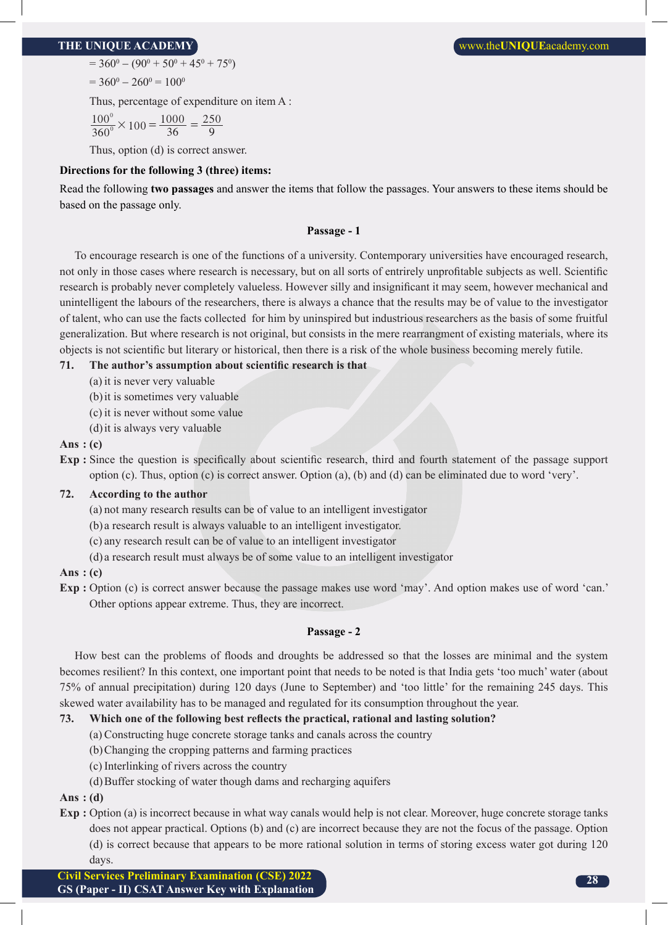$= 360^0 - (90^0 + 50^0 + 45^0 + 75^0)$ 

 $= 360^0 - 260^0 = 100^0$ 

Thus, percentage of expenditure on item A :

 $\frac{100^0}{360^0} \times 100 = \frac{1000}{36}$ 9  $\frac{0}{20}$  × 100 =  $\frac{1000}{36}$  =  $\frac{250}{9}$  $\frac{0}{8}$  × 100 =  $\frac{1000}{36}$  =

Thus, option (d) is correct answer.

#### **Directions for the following 3 (three) items:**

Read the following **two passages** and answer the items that follow the passages. Your answers to these items should be based on the passage only.

#### **Passage - 1**

To encourage research is one of the functions of a university. Contemporary universities have encouraged research, not only in those cases where research is necessary, but on all sorts of entrirely unprofitable subjects as well. Scientific research is probably never completely valueless. However silly and insignificant it may seem, however mechanical and unintelligent the labours of the researchers, there is always a chance that the results may be of value to the investigator of talent, who can use the facts collected for him by uninspired but industrious researchers as the basis of some fruitful generalization. But where research is not original, but consists in the mere rearrangment of existing materials, where its objects is not scientific but literary or historical, then there is a risk of the whole business becoming merely futile.

### **71. The author's assumption about scientific research is that**

- (a) it is never very valuable
- (b)it is sometimes very valuable
- (c) it is never without some value
- (d)it is always very valuable

#### **Ans : (c)**

**Exp :** Since the question is specifically about scientific research, third and fourth statement of the passage support option (c). Thus, option (c) is correct answer. Option (a), (b) and (d) can be eliminated due to word 'very'.

#### **72. According to the author**

- (a) not many research results can be of value to an intelligent investigator
- (b) a research result is always valuable to an intelligent investigator.
- (c) any research result can be of value to an intelligent investigator
- (d) a research result must always be of some value to an intelligent investigator

#### **Ans : (c)**

**Exp :** Option (c) is correct answer because the passage makes use word 'may'. And option makes use of word 'can.' Other options appear extreme. Thus, they are incorrect.

#### **Passage - 2**

How best can the problems of floods and droughts be addressed so that the losses are minimal and the system becomes resilient? In this context, one important point that needs to be noted is that India gets 'too much' water (about 75% of annual precipitation) during 120 days (June to September) and 'too little' for the remaining 245 days. This skewed water availability has to be managed and regulated for its consumption throughout the year.

#### **73. Which one of the following best reflects the practical, rational and lasting solution?**

- (a) Constructing huge concrete storage tanks and canals across the country
- (b)Changing the cropping patterns and farming practices
- (c) Interlinking of rivers across the country
- (d)Buffer stocking of water though dams and recharging aquifers

**Ans : (d)**

**Exp :** Option (a) is incorrect because in what way canals would help is not clear. Moreover, huge concrete storage tanks does not appear practical. Options (b) and (c) are incorrect because they are not the focus of the passage. Option (d) is correct because that appears to be more rational solution in terms of storing excess water got during 120 days.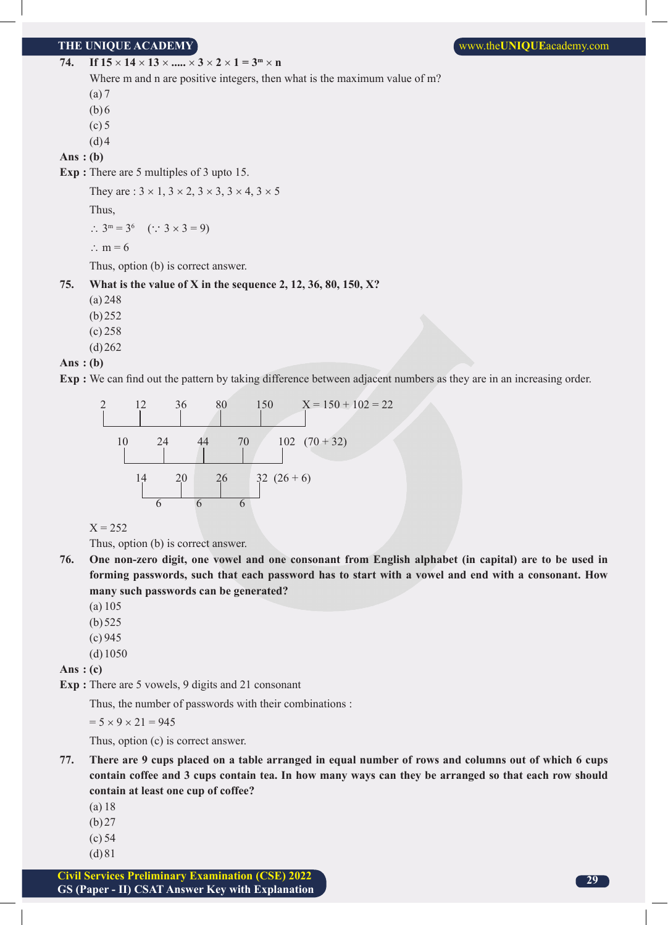74. **If 15**  $\times$  **14**  $\times$  **13**  $\times$  **.....**  $\times$  3  $\times$  2  $\times$  1 = 3<sup>m</sup>  $\times$  n

Where m and n are positive integers, then what is the maximum value of m?

(a) 7

(b)6

 $(c)$  5

 $(d)4$ 

**Ans : (b)**

**Exp :** There are 5 multiples of 3 upto 15.

They are :  $3 \times 1$ ,  $3 \times 2$ ,  $3 \times 3$ ,  $3 \times 4$ ,  $3 \times 5$ 

Thus,

 $\therefore$  3<sup>m</sup> = 3<sup>6</sup> ( $\therefore$  3 × 3 = 9)

∴ m = 6

Thus, option (b) is correct answer.

**75. What is the value of X in the sequence 2, 12, 36, 80, 150, X?**

(a) 248

(b)252

(c) 258

 $(d)262$ 

#### **Ans : (b)**

**Exp :** We can find out the pattern by taking difference between adjacent numbers as they are in an increasing order.

2 12 36 80 150 X = 150 + 102 = 22 10 24 44 70 102 (70 + 32) 14 20 26 32 (26 + 6) 6 6 6

 $X = 252$ 

Thus, option (b) is correct answer.

- **76. One non-zero digit, one vowel and one consonant from English alphabet (in capital) are to be used in forming passwords, such that each password has to start with a vowel and end with a consonant. How many such passwords can be generated?**
	- (a) 105
	- (b)525
	- (c) 945
	- (d)1050

**Ans : (c)**

**Exp :** There are 5 vowels, 9 digits and 21 consonant

Thus, the number of passwords with their combinations :

 $= 5 \times 9 \times 21 = 945$ 

Thus, option (c) is correct answer.

- **77. There are 9 cups placed on a table arranged in equal number of rows and columns out of which 6 cups contain coffee and 3 cups contain tea. In how many ways can they be arranged so that each row should contain at least one cup of coffee?**
	- (a) 18
	- (b)27
	- (c) 54
	- (d)81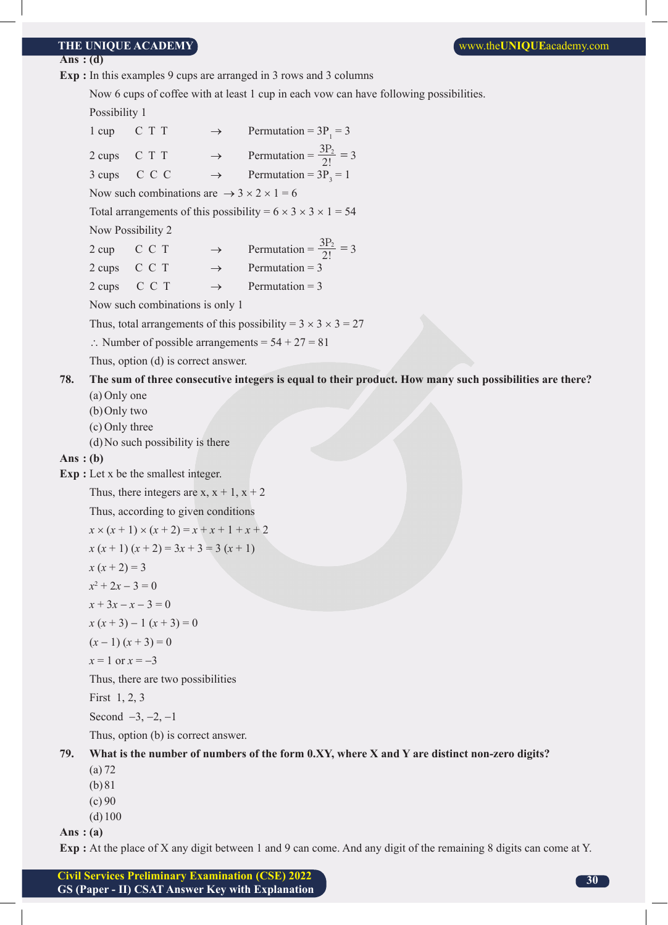#### **THE UNIQUE ACADEMY WE UNIQUE ACADEMY WE UNIQUE** ACADEMY

#### **Ans : (d)**

**Exp :** In this examples 9 cups are arranged in 3 rows and 3 columns

Now 6 cups of coffee with at least 1 cup in each vow can have following possibilities.

Possibility 1

|            | $1 \text{ cup}$                |                                                                     |               | C T T $\rightarrow$ Permutation = 3P <sub>1</sub> = 3                                                   |
|------------|--------------------------------|---------------------------------------------------------------------|---------------|---------------------------------------------------------------------------------------------------------|
|            | 2 cups                         |                                                                     |               | C T T $\rightarrow$ Permutation = $\frac{3P_2}{2!} = 3$                                                 |
|            | 3 cups                         |                                                                     |               | C C C $\rightarrow$ Permutation = $3P_3 = 1$                                                            |
|            |                                | Now such combinations are $\rightarrow$ 3 $\times$ 2 $\times$ 1 = 6 |               |                                                                                                         |
|            |                                |                                                                     |               | Total arrangements of this possibility = $6 \times 3 \times 3 \times 1 = 54$                            |
|            | Now Possibility 2              |                                                                     |               |                                                                                                         |
|            |                                |                                                                     |               | 2 cup C C T $\rightarrow$ Permutation = $\frac{3P_2}{2!} = 3$                                           |
|            | 2 cups                         | C C T                                                               |               | $\rightarrow$ Permutation = 3                                                                           |
|            | 2 cups                         | C C T                                                               | $\rightarrow$ | Permutation $=$ 3                                                                                       |
|            |                                | Now such combinations is only 1                                     |               |                                                                                                         |
|            |                                |                                                                     |               | Thus, total arrangements of this possibility = $3 \times 3 \times 3 = 27$                               |
|            |                                |                                                                     |               | : Number of possible arrangements = $54 + 27 = 81$                                                      |
|            |                                | Thus, option (d) is correct answer.                                 |               |                                                                                                         |
| 78.        |                                |                                                                     |               | The sum of three consecutive integers is equal to their product. How many such possibilities are there? |
|            | (a) Only one                   |                                                                     |               |                                                                                                         |
|            | (b) Only two<br>(c) Only three |                                                                     |               |                                                                                                         |
|            |                                | (d) No such possibility is there                                    |               |                                                                                                         |
| Ans: $(b)$ |                                |                                                                     |               |                                                                                                         |
|            |                                | <b>Exp</b> : Let x be the smallest integer.                         |               |                                                                                                         |
|            |                                | Thus, there integers are x, $x + 1$ , $x + 2$                       |               |                                                                                                         |
|            |                                | Thus, according to given conditions                                 |               |                                                                                                         |
|            |                                | $x \times (x + 1) \times (x + 2) = x + x + 1 + x + 2$               |               |                                                                                                         |
|            |                                | $x (x + 1) (x + 2) = 3x + 3 = 3 (x + 1)$                            |               |                                                                                                         |
|            | $x (x + 2) = 3$                |                                                                     |               |                                                                                                         |
|            | $x^2 + 2x - 3 = 0$             |                                                                     |               |                                                                                                         |
|            | $x + 3x - x - 3 = 0$           |                                                                     |               |                                                                                                         |
|            |                                | $x(x+3)-1(x+3)=0$                                                   |               |                                                                                                         |
|            | $(x-1)(x+3)=0$                 |                                                                     |               |                                                                                                         |
|            | $x=1$ or $x=-3$                |                                                                     |               |                                                                                                         |
|            |                                | Thus, there are two possibilities                                   |               |                                                                                                         |
|            | First $1, 2, 3$                |                                                                     |               |                                                                                                         |
|            |                                | Second $-3, -2, -1$                                                 |               |                                                                                                         |
|            |                                | Thus, option (b) is correct answer.                                 |               |                                                                                                         |
| 79.        | (a) 72                         |                                                                     |               | What is the number of numbers of the form 0.XY, where X and Y are distinct non-zero digits?             |

(b)81

- $(c) 90$
- (d)100

**Ans : (a)**

**Exp :** At the place of X any digit between 1 and 9 can come. And any digit of the remaining 8 digits can come at Y.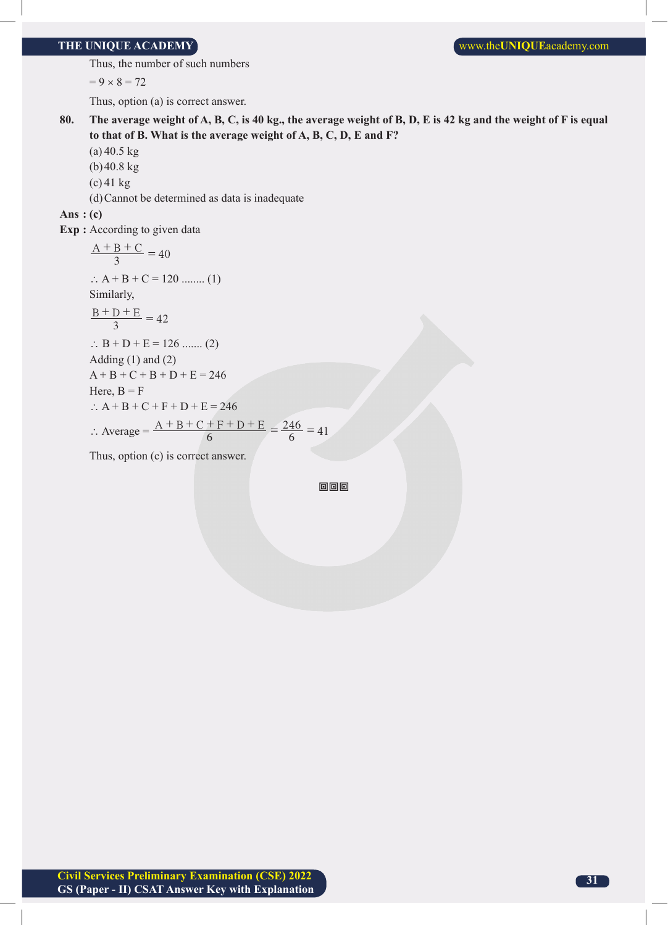#### **THE UNIQUE ACADEMY WE UNIQUE ACADEMY WE UNIQUE** ACADEMY

Thus, the number of such numbers

 $= 9 \times 8 = 72$ 

Thus, option (a) is correct answer.

- **80. The average weight of A, B, C, is 40 kg., the average weight of B, D, E is 42 kg and the weight of F is equal to that of B. What is the average weight of A, B, C, D, E and F?**
	- (a) 40.5 kg
	- (b)40.8 kg
	- (c) 41 kg
	- (d)Cannot be determined as data is inadequate

**Ans : (c)**

**Exp :** According to given data

$$
\frac{A + B + C}{3} = 40
$$
  
\n $\therefore A + B + C = 120$  ...... (1)  
\nSimilarly,  
\n $\frac{B + D + E}{3} = 42$   
\n $\therefore B + D + E = 126$  ...... (2)  
\nAdding (1) and (2)  
\n $A + B + C + B + D + E = 246$   
\nHere,  $B = F$   
\n $\therefore A + B + C + F + D + E = 246$   
\n $\therefore \text{ Average} = \frac{A + B + C + F + D + E}{6} = \frac{246}{6} = 41$ 

Thus, option (c) is correct answer.

回回回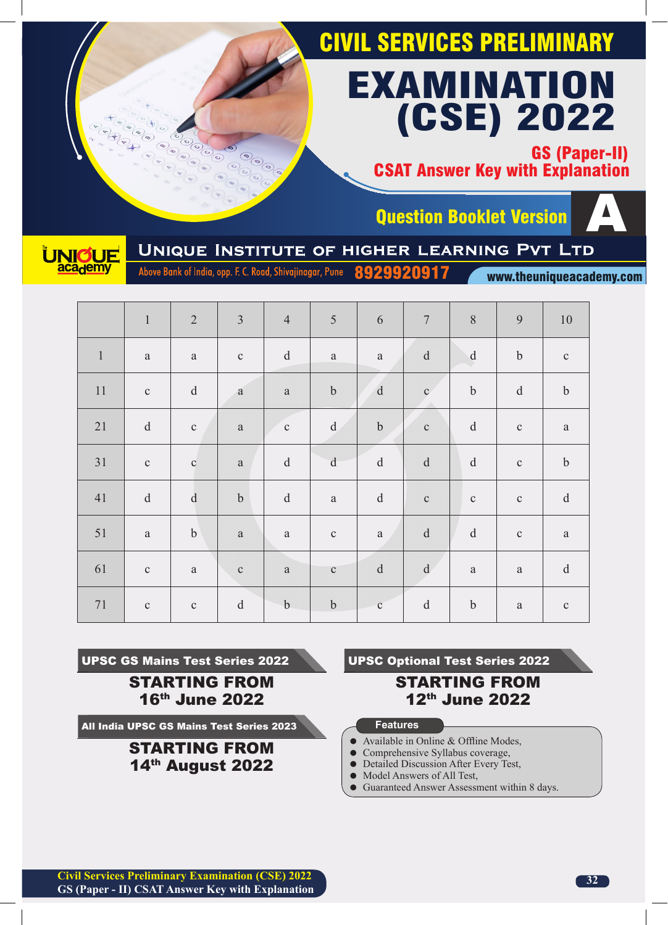GS (Paper-II) CSAT Answer Key with Explanation





Question Booklet Version<br>UNIQUE INSTITUTE OF HIGHER LEARNING PVT LTD

Above Bank of India, opp. F. C. Road, Shivajinagar, Pune 8929920917

www.theuniqueacademy.com

|              | $\mathbf{1}$                                                                                                 | $\overline{2}$                                    | $\overline{3}$ | $\overline{4}$                | 5                                                 | 6                                                 | $\boldsymbol{7}$                                                                                             | $\, 8$                                        | 9            | $10\,$                                                                                                       |
|--------------|--------------------------------------------------------------------------------------------------------------|---------------------------------------------------|----------------|-------------------------------|---------------------------------------------------|---------------------------------------------------|--------------------------------------------------------------------------------------------------------------|-----------------------------------------------|--------------|--------------------------------------------------------------------------------------------------------------|
| $\mathbf{1}$ | $\rm{a}$                                                                                                     | $\rm{a}$                                          | $\mathbf{C}$   | $\rm d$                       | $\rm{a}$                                          | $\rm{a}$                                          | $\mathbf d$                                                                                                  | $\mathbf d$                                   | $\mathbf b$  | $\mathbf{C}$                                                                                                 |
| $11\,$       | $\mathbf{C}$                                                                                                 | $\mathrm{d}% \left\  \mathbf{r}_{i}\right\  ^{2}$ | $\mathbf{a}$   | $\rm{a}$                      | $\mathbf b$                                       | $\mathbf d$                                       | $\mathbf{c}$                                                                                                 | $\rm b$                                       | $\rm d$      | $\mathbf b$                                                                                                  |
| 21           | $\rm d$                                                                                                      | $\mathbf{C}$                                      | $\rm{a}$       | $\mathbf{C}$<br>$\mathcal{L}$ | $\mathrm{d}% \left\  \mathbf{r}_{i}\right\  ^{2}$ | $\boldsymbol{b}$                                  | $\mathbf{C}$                                                                                                 | $\mathrm{d}% \left\  \mathbf{M}\right\  ^{2}$ | $\mathbf{C}$ | $\rm{a}$                                                                                                     |
| 31           | $\mathbf C$                                                                                                  | $\mathbf{C}$                                      | $\rm{a}$       | $\rm d$                       | $\rm d$                                           | $\mathrm{d}% \left\  \mathbf{r}_{i}\right\  ^{2}$ | ${\rm d}$                                                                                                    | $\mathbf d$                                   | $\mathbf C$  | $\boldsymbol{b}$                                                                                             |
| 41           | $\mathrm{d}% \left\  \mathbf{r}^{\prime}\right\  _{A}\leq\mathrm{d}\left\  \mathbf{r}^{\prime}\right\  _{A}$ | ${\rm d}$                                         | $\mathbf b$    | $\rm d$                       | $\rm{a}$                                          | $\mathrm{d}% \left\  \mathbf{r}_{i}\right\  ^{2}$ | $\mathbf{C}$                                                                                                 | $\mathbf{C}$                                  | $\mathbf C$  | $\mathrm{d}% \left\  \mathbf{r}^{\prime}\right\  _{A}\leq\mathrm{d}\left\  \mathbf{r}^{\prime}\right\  _{A}$ |
| 51           | $\rm{a}$                                                                                                     | $\mathbf b$                                       | $\mathbf{a}$   | $\rm{a}$                      | $\mathbf{C}$                                      | $\rm{a}$                                          | $\rm d$                                                                                                      | $\rm d$                                       | $\mathbf C$  | $\rm{a}$                                                                                                     |
| 61           | $\mathbf C$                                                                                                  | $\rm{a}$                                          | $\mathbf{C}$   | $\rm{a}$                      | $\mathbf{C}$                                      | $\mathbf d$                                       | $\mathrm{d}% \left\  \mathbf{r}^{\prime}\right\  _{A}\leq\mathrm{d}\left\  \mathbf{r}^{\prime}\right\  _{A}$ | $\rm{a}$                                      | $\rm{a}$     | $\mathrm{d}% \left\  \mathbf{r}_{i}\right\  ^{2}$                                                            |
| $71\,$       | $\mathbf C$                                                                                                  | $\mathbf{C}$                                      | ${\rm d}$      | $-b$                          | $\boldsymbol{b}$                                  | $\mathbf{c}^-$                                    | $\rm d$                                                                                                      | $\boldsymbol{b}$                              | $\mathbf{a}$ | $\mathbf{C}$                                                                                                 |

UPSC GS Mains Test Series 2022

STARTING FROM 16th June 2022

All India UPSC GS Mains Test Series 2023

STARTING FROM 14th August 2022

UPSC Optional Test Series 2022

# STARTING FROM 12th June 2022

- Available in Online & Offline Modes,
- Comprehensive Syllabus coverage,
- Detailed Discussion After Every Test,
- $\bullet$  Model Answers of All Test,
- Guaranteed Answer Assessment within 8 days.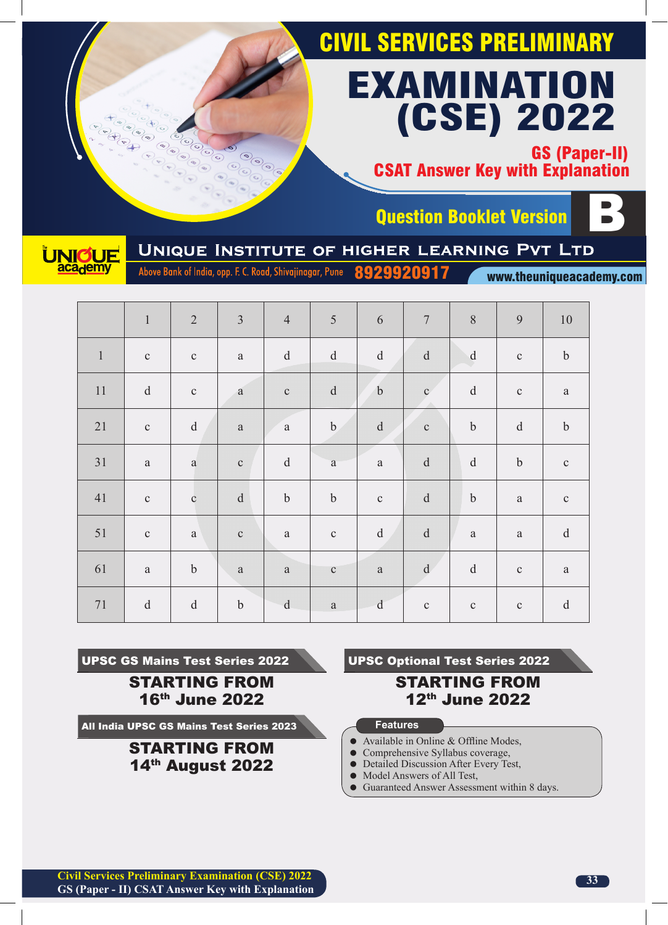GS (Paper-II) CSAT Answer Key with Explanation





Question Booklet Version<br>UNIQUE INSTITUTE OF HIGHER LEARNING PVT LTD

Above Bank of India, opp. F. C. Road, Shivajinagar, Pune 8929920917

www.theuniqueacademy.com

|              | $\mathbf{1}$ | $\overline{2}$                                    | $\overline{3}$   | $\overline{4}$ | 5                                                 | 6                                                 | $\boldsymbol{7}$                                    | $\, 8$                                        | 9                                                 | $10\,$                                            |
|--------------|--------------|---------------------------------------------------|------------------|----------------|---------------------------------------------------|---------------------------------------------------|-----------------------------------------------------|-----------------------------------------------|---------------------------------------------------|---------------------------------------------------|
| $\mathbf{1}$ | $\mathbf C$  | $\mathbf{C}$                                      | $\rm{a}$         | $\rm d$        | $\rm d$                                           | $\rm d$                                           | $\mathbf d$                                         | $\mathbf d$                                   | $\mathbf C$                                       | $\boldsymbol{b}$                                  |
| $11\,$       | ${\rm d}$    | $\mathbf{C}$                                      | $\mathbf{a}$     | $\mathbf C$    | $\mathrm{d}% \left\  \mathbf{r}_{i}\right\  ^{2}$ | $\mathbf b$                                       | $\mathbf{c}^{\prime}$                               | ${\rm d}$                                     | $\mathbf C$                                       | $\rm{a}$                                          |
| 21           | $\mathbf{C}$ | ${\rm d}$                                         | $\rm{a}$         | $\rm{a}$       | $\mathbf b$                                       | $\rm d$                                           | $\mathbf{C}$                                        | $\boldsymbol{b}$                              | $\mathrm{d}% \left\  \mathbf{r}_{i}\right\  ^{2}$ | $\mathbf b$                                       |
| 31           | $\rm{a}$     | $\rm{a}$                                          | $\mathbf{C}$     | $\rm d$        | $\rm{a}$                                          | $\rm{a}$                                          | $\rm d$                                             | $\mathbf d$                                   | $\boldsymbol{b}$                                  | $\mathbf{C}$                                      |
| 41           | $\mathbf{C}$ | $\mathbf{C}$                                      | $\rm d$          | $\mathbf b$    | $\boldsymbol{b}$                                  | $\mathbf{C}$                                      | $\rm d$                                             | $\boldsymbol{b}$                              | $\rm{a}$                                          | $\mathbf C$                                       |
| 51           | $\mathbf C$  | $\rm{a}$                                          | $\mathbf{C}$     | $\rm{a}$       | $\mathbf{C}$                                      | $\mathrm{d}% \left\  \mathbf{r}_{i}\right\  ^{2}$ | $\rm d$                                             | $\rm{a}$                                      | $\rm{a}$                                          | $\mathbf d$                                       |
| 61           | $\rm{a}$     | $\boldsymbol{b}$                                  | $\mathbf{a}$     | $\rm{a}$       | $\mathbf C$                                       | $\rm{a}$                                          | $\mathrm{d}% \left\vert \mathbf{r}\right\vert ^{2}$ | $\mathrm{d}% \left\  \mathbf{M}\right\  ^{2}$ | $\mathbf C$                                       | $\rm{a}$                                          |
| $71\,$       | $\rm d$      | $\mathrm{d}% \left\  \mathbf{r}_{i}\right\  ^{2}$ | $\boldsymbol{b}$ | $\mathbf d$    | $\rm{a}$                                          | d                                                 | $\mathbf{C}$                                        | $\mathbf C$                                   | $\mathbf C$                                       | $\mathrm{d}% \left\  \mathbf{r}_{i}\right\  ^{2}$ |

UPSC GS Mains Test Series 2022

STARTING FROM 16th June 2022

All India UPSC GS Mains Test Series 2023

STARTING FROM 14th August 2022

UPSC Optional Test Series 2022

## STARTING FROM 12th June 2022

- Available in Online & Offline Modes,
- Comprehensive Syllabus coverage,
- Detailed Discussion After Every Test,
- $\bullet$  Model Answers of All Test,
- Guaranteed Answer Assessment within 8 days.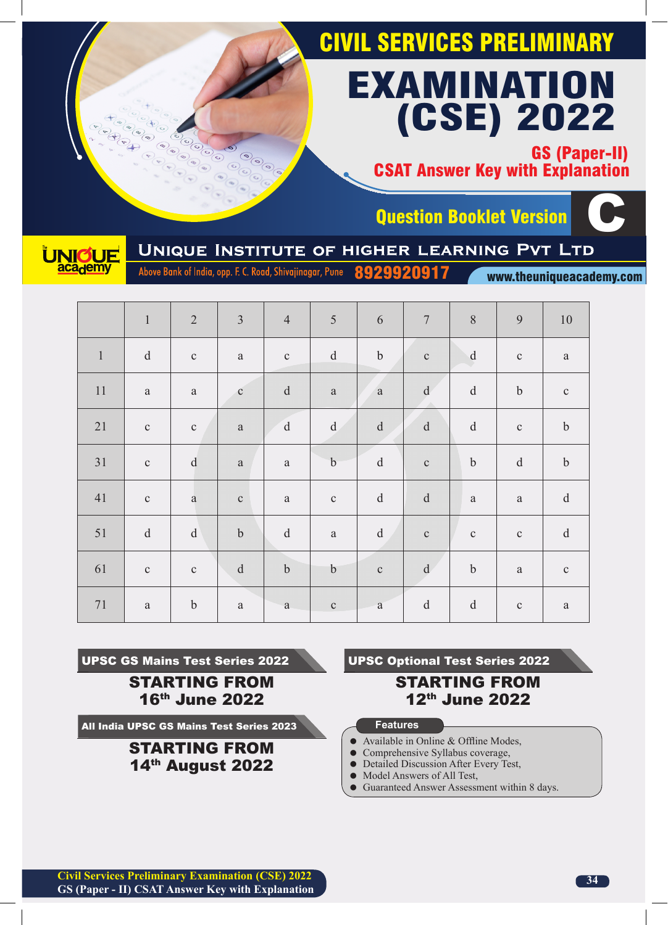GS (Paper-II) CSAT Answer Key with Explanation



Question Booklet Version<br>UNIQUE INSTITUTE OF HIGHER LEARNING PVT LTD C

Above Bank of India, opp. F. C. Road, Shivajinagar, Pune 8929920917

www.theuniqueacademy.com

|              | $\,1\,$                                                                                                      | $\overline{2}$                                    | $\overline{3}$ | $\overline{4}$ | 5                                                 | $\sqrt{6}$                                        | $\overline{7}$                                    | 8                                             | 9                                                 | $10\,$                                                                                                       |
|--------------|--------------------------------------------------------------------------------------------------------------|---------------------------------------------------|----------------|----------------|---------------------------------------------------|---------------------------------------------------|---------------------------------------------------|-----------------------------------------------|---------------------------------------------------|--------------------------------------------------------------------------------------------------------------|
| $\mathbf{1}$ | $\mathbf d$                                                                                                  | $\mathbf C$                                       | $\rm{a}$       | $\mathbf C$    | $\rm d$                                           | $\boldsymbol{b}$                                  | $\mathbf{C}$                                      | ${\bf d}$                                     | $\mathbf C$                                       | $\rm{a}$                                                                                                     |
| 11           | $\rm{a}$                                                                                                     | $\rm{a}$                                          | $\mathbf c$    | $\rm d$        | $\rm{a}$                                          | $\mathbf{a}$                                      | $\mathrm{d}% \left\  \mathbf{r}_{i}\right\  ^{2}$ | $\mathrm{d}% \left\  \mathbf{M}\right\  ^{2}$ | $\mathbf b$                                       | $\mathbf C$                                                                                                  |
| 21           | $\mathbf{C}$                                                                                                 | $\mathbf{C}$                                      | $\mathbf{a}$   | $\mathbf{d}$   | $\mathrm{d}% \left\  \mathbf{r}_{i}\right\  ^{2}$ | $\rm d$                                           | $\rm d$                                           | $\rm d$                                       | $\mathbf C$                                       | $\mathbf b$                                                                                                  |
| 31           | $\mathbf{C}$                                                                                                 | $\mathbf{d}$                                      | $\mathbf{a}$   | $\rm{a}$       | $\mathbf{b}$                                      | $\mathrm{d}% \left\  \mathbf{M}\right\  ^{2}$     | $\mathbf{C}$                                      | $\boldsymbol{b}$                              | $\mathrm{d}% \left\  \mathbf{r}_{i}\right\  ^{2}$ | $\boldsymbol{b}$                                                                                             |
| 41           | $\mathbf C$                                                                                                  | $\rm{a}$                                          | $\mathbf C$    | $\rm{a}$       | $\mathbf C$                                       | $\mathrm{d}% \left\  \mathbf{M}\right\  ^{2}$     | $\rm d$                                           | $\rm{a}$                                      | $\mathbf{a}$                                      | $\rm d$                                                                                                      |
| 51           | $\mathrm{d}% \left\  \mathbf{r}^{\prime}\right\  _{A}\leq\mathrm{d}\left\  \mathbf{r}^{\prime}\right\  _{A}$ | $\mathrm{d}% \left\  \mathbf{r}_{i}\right\  ^{2}$ | $\bf b$        | $\mathbf{d}$   | $\rm{a}$                                          | $\mathrm{d}% \left\  \mathbf{r}_{i}\right\  ^{2}$ | $\mathbf{C}$                                      | $\mathbf C$                                   | $\mathbf C$                                       | $\mathrm{d}% \left\  \mathbf{r}^{\prime}\right\  _{A}\leq\mathrm{d}\left\  \mathbf{r}^{\prime}\right\  _{A}$ |
| 61           | $\mathbf C$                                                                                                  | $\mathbf{C}$                                      | ${\rm d}$      | $\mathbf b$    | $\mathbf b$                                       | $\mathbf{C}$                                      | $\mathrm{d}% \left\  \mathbf{r}_{i}\right\  ^{2}$ | $\boldsymbol{b}$                              | $\rm{a}$                                          | $\mathbf C$                                                                                                  |
| $71\,$       | $\rm{a}$                                                                                                     | $\boldsymbol{b}$                                  | $\rm{a}$       | $\rm{a}$       | $\mathbf C$                                       | $\mathbf{a}$                                      | $\rm d$                                           | $\rm d$                                       | $\mathbf C$                                       | $\rm{a}$                                                                                                     |

UPSC GS Mains Test Series 2022 STARTING FROM

16th June 2022

All India UPSC GS Mains Test Series 2023

STARTING FROM 14th August 2022

UPSC Optional Test Series 2022

# STARTING FROM 12th June 2022

- Available in Online & Offline Modes,
- Comprehensive Syllabus coverage,
- Detailed Discussion After Every Test,
- $\bullet$  Model Answers of All Test,
- Guaranteed Answer Assessment within 8 days.